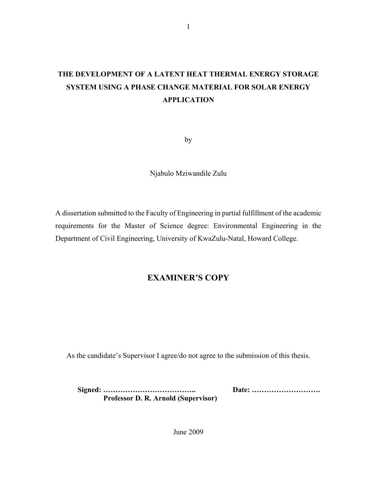# **THE DEVELOPMENT OF A LATENT HEAT THERMAL ENERGY STORAGE SYSTEM USING A PHASE CHANGE MATERIAL FOR SOLAR ENERGY APPLICATION**

by

Njabulo Mziwandile Zulu

A dissertation submitted to the Faculty of Engineering in partial fulfillment of the academic requirements for the Master of Science degree: Environmental Engineering in the Department of Civil Engineering, University of KwaZulu-Natal, Howard College.

## **EXAMINER'S COPY**

As the candidate's Supervisor I agree/do not agree to the submission of this thesis.

**Signed: ……………………………….. Date: ………………………. Professor D. R. Arnold (Supervisor)** 

June 2009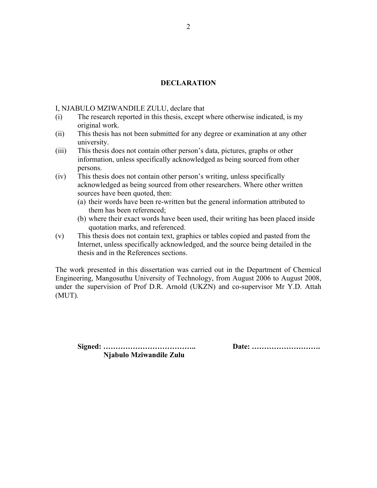## **DECLARATION**

I, NJABULO MZIWANDILE ZULU, declare that

- (i) The research reported in this thesis, except where otherwise indicated, is my original work.
- (ii) This thesis has not been submitted for any degree or examination at any other university.
- (iii) This thesis does not contain other person's data, pictures, graphs or other information, unless specifically acknowledged as being sourced from other persons.
- (iv) This thesis does not contain other person's writing, unless specifically acknowledged as being sourced from other researchers. Where other written sources have been quoted, then:
	- (a) their words have been re-written but the general information attributed to them has been referenced;
	- (b) where their exact words have been used, their writing has been placed inside quotation marks, and referenced.
- (v) This thesis does not contain text, graphics or tables copied and pasted from the Internet, unless specifically acknowledged, and the source being detailed in the thesis and in the References sections.

The work presented in this dissertation was carried out in the Department of Chemical Engineering, Mangosuthu University of Technology, from August 2006 to August 2008, under the supervision of Prof D.R. Arnold (UKZN) and co-supervisor Mr Y.D. Attah (MUT).

**Signed: ……………………………….. Date: ………………………. Njabulo Mziwandile Zulu**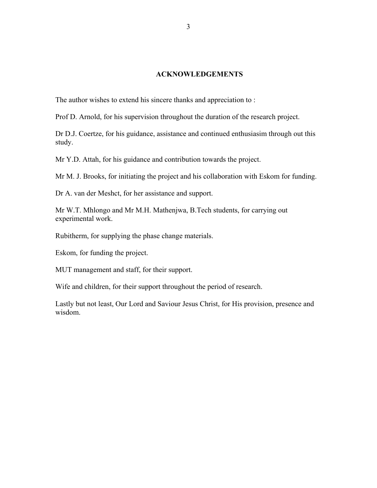## **ACKNOWLEDGEMENTS**

The author wishes to extend his sincere thanks and appreciation to :

Prof D. Arnold, for his supervision throughout the duration of the research project.

Dr D.J. Coertze, for his guidance, assistance and continued enthusiasim through out this study.

Mr Y.D. Attah, for his guidance and contribution towards the project.

Mr M. J. Brooks, for initiating the project and his collaboration with Eskom for funding.

Dr A. van der Meshct, for her assistance and support.

Mr W.T. Mhlongo and Mr M.H. Mathenjwa, B.Tech students, for carrying out experimental work.

Rubitherm, for supplying the phase change materials.

Eskom, for funding the project.

MUT management and staff, for their support.

Wife and children, for their support throughout the period of research.

Lastly but not least, Our Lord and Saviour Jesus Christ, for His provision, presence and wisdom.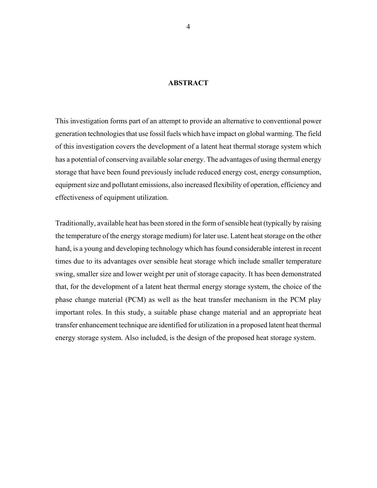## **ABSTRACT**

This investigation forms part of an attempt to provide an alternative to conventional power generation technologies that use fossil fuels which have impact on global warming. The field of this investigation covers the development of a latent heat thermal storage system which has a potential of conserving available solar energy. The advantages of using thermal energy storage that have been found previously include reduced energy cost, energy consumption, equipment size and pollutant emissions, also increased flexibility of operation, efficiency and effectiveness of equipment utilization.

Traditionally, available heat has been stored in the form of sensible heat (typically by raising the temperature of the energy storage medium) for later use. Latent heat storage on the other hand, is a young and developing technology which has found considerable interest in recent times due to its advantages over sensible heat storage which include smaller temperature swing, smaller size and lower weight per unit of storage capacity. It has been demonstrated that, for the development of a latent heat thermal energy storage system, the choice of the phase change material (PCM) as well as the heat transfer mechanism in the PCM play important roles. In this study, a suitable phase change material and an appropriate heat transfer enhancement technique are identified for utilization in a proposed latent heat thermal energy storage system. Also included, is the design of the proposed heat storage system.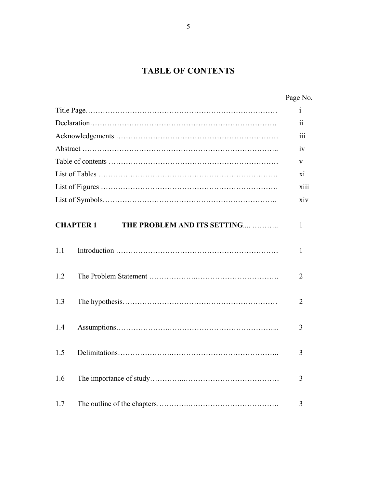# **TABLE OF CONTENTS**

| Page No. |
|----------|
|          |

|     |                                                 | $\mathbf{i}$             |
|-----|-------------------------------------------------|--------------------------|
|     |                                                 | $\overline{\textbf{ii}}$ |
|     |                                                 | iii                      |
|     |                                                 | iv                       |
|     |                                                 | V                        |
|     |                                                 | xi                       |
|     |                                                 | xiii                     |
|     |                                                 | xiv                      |
|     | THE PROBLEM AND ITS SETTING<br><b>CHAPTER 1</b> | 1                        |
|     |                                                 |                          |
| 1.1 |                                                 | $\mathbf{1}$             |
| 1.2 |                                                 | $\overline{2}$           |
|     |                                                 |                          |
| 1.3 |                                                 | 2                        |
| 1.4 |                                                 | 3                        |
|     |                                                 |                          |
| 1.5 |                                                 | 3                        |
| 1.6 |                                                 | 3                        |
|     |                                                 |                          |
| 1.7 |                                                 | 3                        |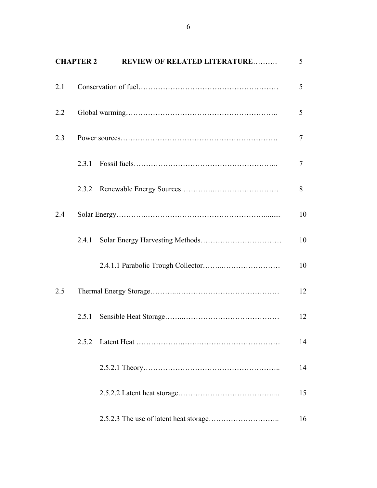|     | <b>CHAPTER 2</b> | <b>REVIEW OF RELATED LITERATURE</b> | 5  |
|-----|------------------|-------------------------------------|----|
| 2.1 |                  |                                     | 5  |
| 2.2 |                  |                                     | 5  |
| 2.3 |                  |                                     | 7  |
|     | 2.3.1            |                                     | 7  |
|     | 2.3.2            |                                     | 8  |
| 2.4 |                  |                                     | 10 |
|     | 2.4.1            |                                     | 10 |
|     |                  |                                     | 10 |
| 2.5 |                  |                                     | 12 |
|     | 2.5.1            |                                     | 12 |
|     | 2.5.2            |                                     | 14 |
|     |                  |                                     | 14 |
|     |                  |                                     | 15 |
|     |                  |                                     | 16 |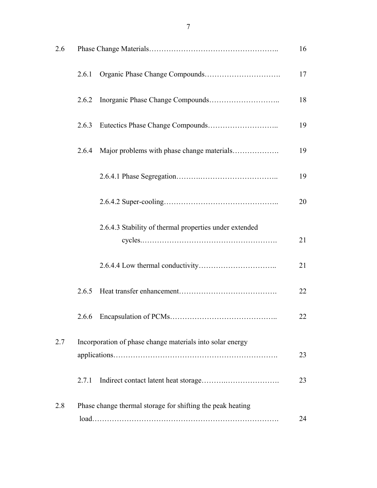| 2.6 |       |                                                            | 16 |
|-----|-------|------------------------------------------------------------|----|
|     | 2.6.1 |                                                            | 17 |
|     | 2.6.2 |                                                            | 18 |
|     | 2.6.3 |                                                            | 19 |
|     | 2.6.4 | Major problems with phase change materials                 | 19 |
|     |       |                                                            | 19 |
|     |       |                                                            | 20 |
|     |       | 2.6.4.3 Stability of thermal properties under extended     | 21 |
|     |       |                                                            | 21 |
|     | 2.6.5 |                                                            | 22 |
|     |       |                                                            | 22 |
| 2.7 |       | Incorporation of phase change materials into solar energy  | 23 |
|     | 2.7.1 |                                                            | 23 |
| 2.8 |       | Phase change thermal storage for shifting the peak heating | 24 |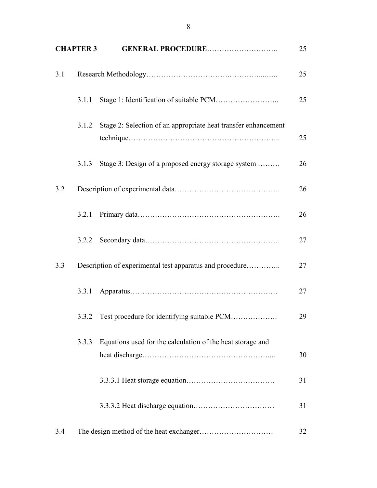|     | <b>CHAPTER 3</b> | <b>GENERAL PROCEDURE</b>                                       | 25 |
|-----|------------------|----------------------------------------------------------------|----|
| 3.1 |                  |                                                                | 25 |
|     | 3.1.1            |                                                                | 25 |
|     | 3.1.2            | Stage 2: Selection of an appropriate heat transfer enhancement | 25 |
|     | 3.1.3            | Stage 3: Design of a proposed energy storage system            | 26 |
| 3.2 |                  |                                                                | 26 |
|     | 3.2.1            |                                                                | 26 |
|     | 3.2.2            |                                                                | 27 |
| 3.3 |                  | Description of experimental test apparatus and procedure       | 27 |
|     | 3.3.1            |                                                                | 27 |
|     | 3.3.2            | Test procedure for identifying suitable PCM                    | 29 |
|     | 3.3.3            | Equations used for the calculation of the heat storage and     | 30 |
|     |                  |                                                                | 31 |
|     |                  |                                                                | 31 |
| 3.4 |                  |                                                                | 32 |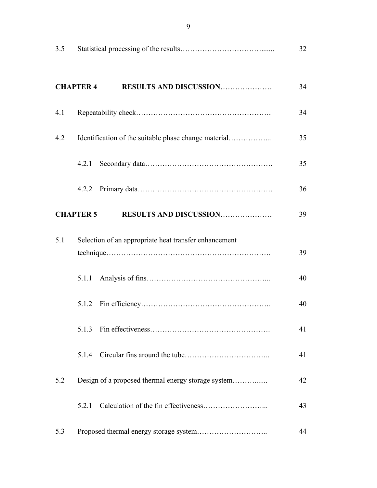| 3.5 |                                                       | 32 |
|-----|-------------------------------------------------------|----|
|     | <b>CHAPTER 4</b><br><b>RESULTS AND DISCUSSION</b>     | 34 |
| 4.1 |                                                       | 34 |
| 4.2 |                                                       | 35 |
|     | 4.2.1                                                 | 35 |
|     |                                                       | 36 |
|     | <b>RESULTS AND DISCUSSION</b><br><b>CHAPTER 5</b>     | 39 |
| 5.1 | Selection of an appropriate heat transfer enhancement | 39 |
|     | 5.1.1                                                 | 40 |
|     | 5.1.2                                                 | 40 |
|     | 5.1.3                                                 | 41 |
|     | 5.1.4                                                 | 41 |
| 5.2 |                                                       | 42 |
|     | 5.2.1                                                 | 43 |
| 5.3 |                                                       | 44 |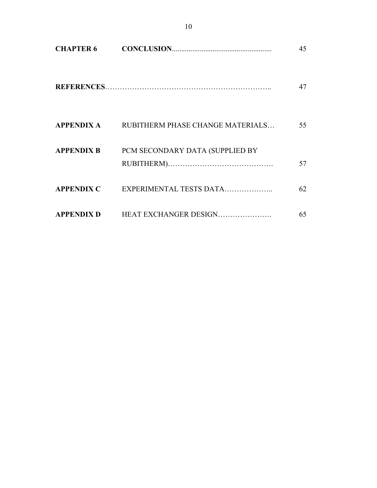| <b>CHAPTER 6</b>  |                                  | 45 |
|-------------------|----------------------------------|----|
|                   |                                  | 47 |
| <b>APPENDIX A</b> | RUBITHERM PHASE CHANGE MATERIALS | 55 |
| <b>APPENDIX B</b> | PCM SECONDARY DATA (SUPPLIED BY  | 57 |
| <b>APPENDIX C</b> | EXPERIMENTAL TESTS DATA          | 62 |
| <b>APPENDIX D</b> | HEAT EXCHANGER DESIGN            | 65 |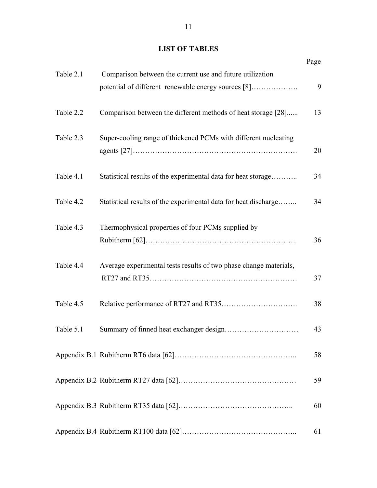## **LIST OF TABLES**

|           |                                                                                                                  | Page |
|-----------|------------------------------------------------------------------------------------------------------------------|------|
| Table 2.1 | Comparison between the current use and future utilization<br>potential of different renewable energy sources [8] | 9    |
| Table 2.2 | Comparison between the different methods of heat storage [28]                                                    | 13   |
| Table 2.3 | Super-cooling range of thickened PCMs with different nucleating                                                  | 20   |
| Table 4.1 | Statistical results of the experimental data for heat storage                                                    | 34   |
| Table 4.2 | Statistical results of the experimental data for heat discharge                                                  | 34   |
| Table 4.3 | Thermophysical properties of four PCMs supplied by                                                               | 36   |
| Table 4.4 | Average experimental tests results of two phase change materials,                                                | 37   |
| Table 4.5 |                                                                                                                  | 38   |
| Table 5.1 |                                                                                                                  | 43   |
|           |                                                                                                                  | 58   |
|           |                                                                                                                  | 59   |
|           |                                                                                                                  | 60   |
|           |                                                                                                                  | 61   |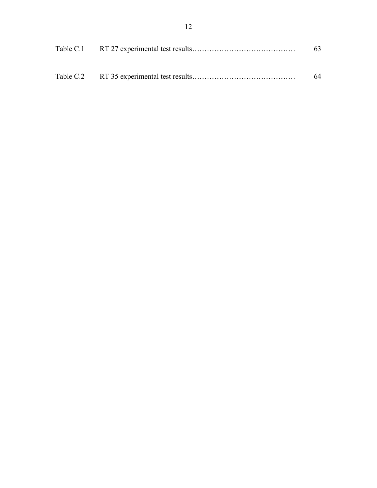|  | 63. |
|--|-----|
|  |     |
|  | 64  |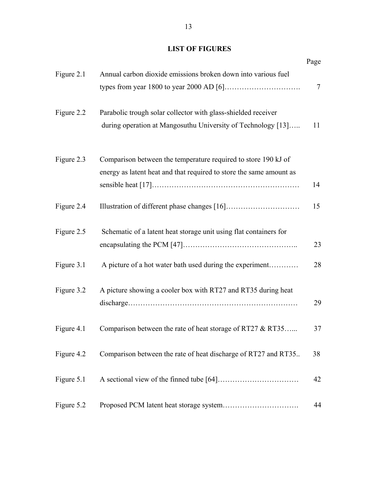## **LIST OF FIGURES**

|            |                                                                                                                                       | Page   |
|------------|---------------------------------------------------------------------------------------------------------------------------------------|--------|
| Figure 2.1 | Annual carbon dioxide emissions broken down into various fuel                                                                         | $\tau$ |
| Figure 2.2 | Parabolic trough solar collector with glass-shielded receiver<br>during operation at Mangosuthu University of Technology [13]         | 11     |
| Figure 2.3 | Comparison between the temperature required to store 190 kJ of<br>energy as latent heat and that required to store the same amount as | 14     |
| Figure 2.4 |                                                                                                                                       | 15     |
| Figure 2.5 | Schematic of a latent heat storage unit using flat containers for                                                                     | 23     |
| Figure 3.1 | A picture of a hot water bath used during the experiment                                                                              | 28     |
| Figure 3.2 | A picture showing a cooler box with RT27 and RT35 during heat                                                                         | 29     |
| Figure 4.1 | Comparison between the rate of heat storage of RT27 & RT35                                                                            | 37     |
| Figure 4.2 | Comparison between the rate of heat discharge of RT27 and RT35                                                                        | 38     |
| Figure 5.1 |                                                                                                                                       | 42     |
| Figure 5.2 |                                                                                                                                       | 44     |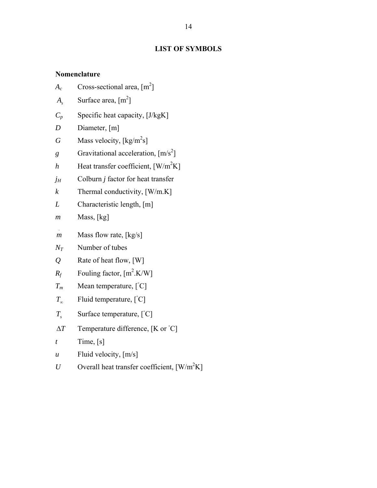## **LIST OF SYMBOLS**

## **Nomenclature**

- $A_c$  Cross-sectional area,  $[m^2]$
- $A_s$  Surface area,  $[m^2]$
- $C_p$  Specific heat capacity,  $[J/kgK]$
- *D* Diameter, [m]
- $G$  Mass velocity,  $\left[\frac{\text{kg}}{\text{m}^2\text{s}}\right]$
- *g* Gravitational acceleration,  $[m/s^2]$
- *h* Heat transfer coefficient,  $[W/m^2K]$
- *jH* Colburn *j* factor for heat transfer
- *k* Thermal conductivity,  $[W/m,K]$
- *L* Characteristic length, [m]
- *m* Mass, [kg]
- . *m* Mass flow rate, [kg/s]
- *NT* Number of tubes
- *Q* Rate of heat flow, [W]
- $R_f$  Fouling factor,  $[m^2.K/W]$
- $T_m$  Mean temperature,  $[°C]$
- $T_{\infty}$  Fluid temperature,  $\left[ {}^{\circ}C \right]$
- *T<sub>s</sub>* Surface temperature, [°C]
- $\Delta T$  Temperature difference, [K or  $\mathrm{C}$ ]
- $t$  Time,  $[s]$
- *u* Fluid velocity,  $[m/s]$
- *U* Overall heat transfer coefficient,  $[W/m^2K]$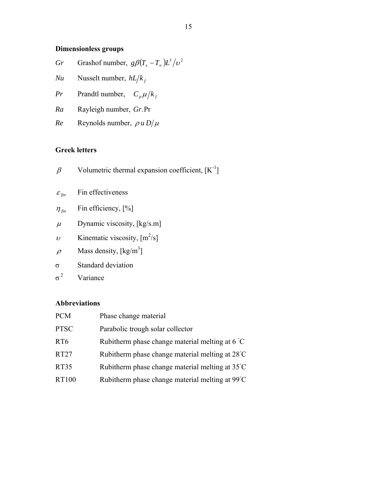## **Dimensionless groups**

| Gr Grashof number, $g\beta(T_s - T_m)L^3/\nu^2$ |
|-------------------------------------------------|
| <i>Nu</i> Nusselt number, $hL/k_f$              |
| <i>Pr</i> Prandtl number, $C_p \mu / k_f$       |
| <i>Ra</i> Rayleigh number, <i>Gr.Pr</i>         |
|                                                 |

*Re* Reynolds number,  $\rho u D/\mu$ 

## **Greek letters**

- $\beta$  Volumetric thermal expansion coefficient,  $[K^{-1}]$
- $\varepsilon_{\text{fin}}$  Fin effectiveness
- $\eta_{fin}$  Fin efficiency, [%]
- $\mu$  Dynamic viscosity, [kg/s.m]
- $\nu$  Kinematic viscosity,  $[m^2/s]$
- $\rho$  Mass density, [kg/m<sup>3</sup>]
- σ Standard deviation
- $\sigma^2$ Variance

## **Abbreviations**

| <b>PCM</b>  | Phase change material                                     |
|-------------|-----------------------------------------------------------|
| <b>PTSC</b> | Parabolic trough solar collector                          |
| RT6         | Rubitherm phase change material melting at $6^{\circ}$ C  |
| RT27        | Rubitherm phase change material melting at 28°C           |
| RT35        | Rubitherm phase change material melting at $35^{\circ}$ C |
| RT100       | Rubitherm phase change material melting at 99°C           |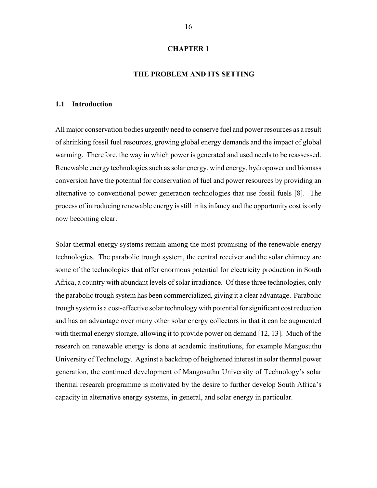### **CHAPTER 1**

## **THE PROBLEM AND ITS SETTING**

#### **1.1 Introduction**

All major conservation bodies urgently need to conserve fuel and power resources as a result of shrinking fossil fuel resources, growing global energy demands and the impact of global warming. Therefore, the way in which power is generated and used needs to be reassessed. Renewable energy technologies such as solar energy, wind energy, hydropower and biomass conversion have the potential for conservation of fuel and power resources by providing an alternative to conventional power generation technologies that use fossil fuels [8]. The process of introducing renewable energy is still in its infancy and the opportunity cost is only now becoming clear.

Solar thermal energy systems remain among the most promising of the renewable energy technologies. The parabolic trough system, the central receiver and the solar chimney are some of the technologies that offer enormous potential for electricity production in South Africa, a country with abundant levels of solar irradiance. Of these three technologies, only the parabolic trough system has been commercialized, giving it a clear advantage. Parabolic trough system is a cost-effective solar technology with potential for significant cost reduction and has an advantage over many other solar energy collectors in that it can be augmented with thermal energy storage, allowing it to provide power on demand [12, 13]. Much of the research on renewable energy is done at academic institutions, for example Mangosuthu University of Technology. Against a backdrop of heightened interest in solar thermal power generation, the continued development of Mangosuthu University of Technology's solar thermal research programme is motivated by the desire to further develop South Africa's capacity in alternative energy systems, in general, and solar energy in particular.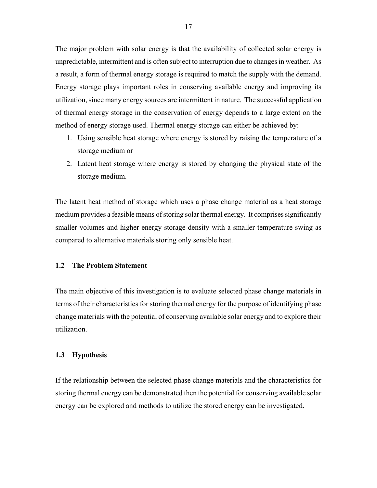The major problem with solar energy is that the availability of collected solar energy is unpredictable, intermittent and is often subject to interruption due to changes in weather. As a result, a form of thermal energy storage is required to match the supply with the demand. Energy storage plays important roles in conserving available energy and improving its utilization, since many energy sources are intermittent in nature. The successful application of thermal energy storage in the conservation of energy depends to a large extent on the method of energy storage used. Thermal energy storage can either be achieved by:

- 1. Using sensible heat storage where energy is stored by raising the temperature of a storage medium or
- 2. Latent heat storage where energy is stored by changing the physical state of the storage medium.

The latent heat method of storage which uses a phase change material as a heat storage medium provides a feasible means of storing solar thermal energy. It comprises significantly smaller volumes and higher energy storage density with a smaller temperature swing as compared to alternative materials storing only sensible heat.

## **1.2 The Problem Statement**

The main objective of this investigation is to evaluate selected phase change materials in terms of their characteristics for storing thermal energy for the purpose of identifying phase change materials with the potential of conserving available solar energy and to explore their utilization.

#### **1.3 Hypothesis**

If the relationship between the selected phase change materials and the characteristics for storing thermal energy can be demonstrated then the potential for conserving available solar energy can be explored and methods to utilize the stored energy can be investigated.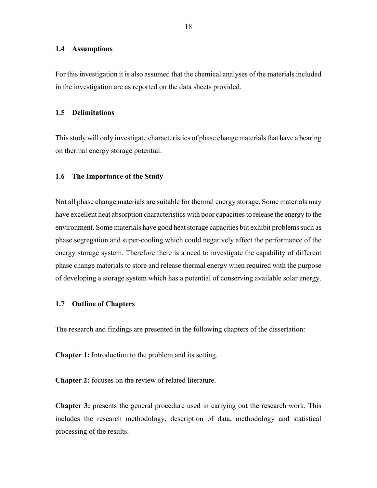#### **1.4 Assumptions**

For this investigation it is also assumed that the chemical analyses of the materials included in the investigation are as reported on the data sheets provided.

### **1.5 Delimitations**

This study will only investigate characteristics of phase change materials that have a bearing on thermal energy storage potential.

## **1.6 The Importance of the Study**

Not all phase change materials are suitable for thermal energy storage. Some materials may have excellent heat absorption characteristics with poor capacities to release the energy to the environment. Some materials have good heat storage capacities but exhibit problems such as phase segregation and super-cooling which could negatively affect the performance of the energy storage system. Therefore there is a need to investigate the capability of different phase change materials to store and release thermal energy when required with the purpose of developing a storage system which has a potential of conserving available solar energy.

## **1.7 Outline of Chapters**

The research and findings are presented in the following chapters of the dissertation:

**Chapter 1:** Introduction to the problem and its setting.

**Chapter 2:** focuses on the review of related literature.

**Chapter 3:** presents the general procedure used in carrying out the research work. This includes the research methodology, description of data, methodology and statistical processing of the results.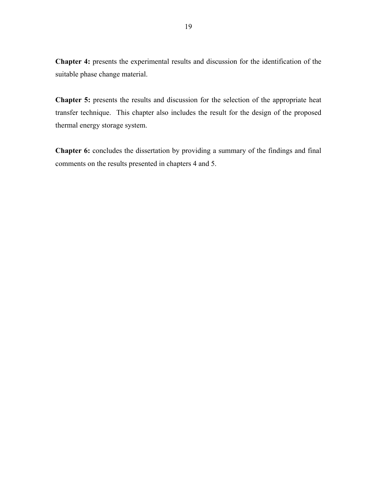**Chapter 4:** presents the experimental results and discussion for the identification of the suitable phase change material.

**Chapter 5:** presents the results and discussion for the selection of the appropriate heat transfer technique. This chapter also includes the result for the design of the proposed thermal energy storage system.

**Chapter 6:** concludes the dissertation by providing a summary of the findings and final comments on the results presented in chapters 4 and 5.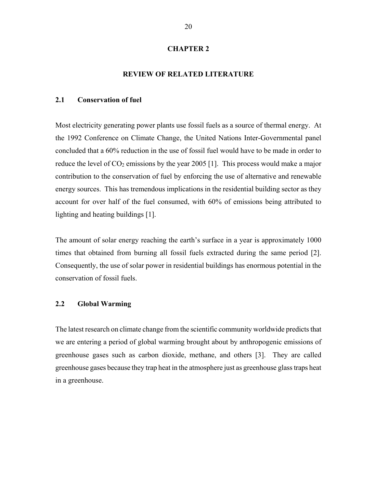#### **CHAPTER 2**

## **REVIEW OF RELATED LITERATURE**

## **2.1 Conservation of fuel**

Most electricity generating power plants use fossil fuels as a source of thermal energy. At the 1992 Conference on Climate Change, the United Nations Inter-Governmental panel concluded that a 60% reduction in the use of fossil fuel would have to be made in order to reduce the level of  $CO<sub>2</sub>$  emissions by the year 2005 [1]. This process would make a major contribution to the conservation of fuel by enforcing the use of alternative and renewable energy sources. This has tremendous implications in the residential building sector as they account for over half of the fuel consumed, with 60% of emissions being attributed to lighting and heating buildings [1].

The amount of solar energy reaching the earth's surface in a year is approximately 1000 times that obtained from burning all fossil fuels extracted during the same period [2]. Consequently, the use of solar power in residential buildings has enormous potential in the conservation of fossil fuels.

## **2.2 Global Warming**

The latest research on climate change from the scientific community worldwide predicts that we are entering a period of global warming brought about by anthropogenic emissions of greenhouse gases such as carbon dioxide, methane, and others [3]. They are called greenhouse gases because they trap heat in the atmosphere just as greenhouse glass traps heat in a greenhouse.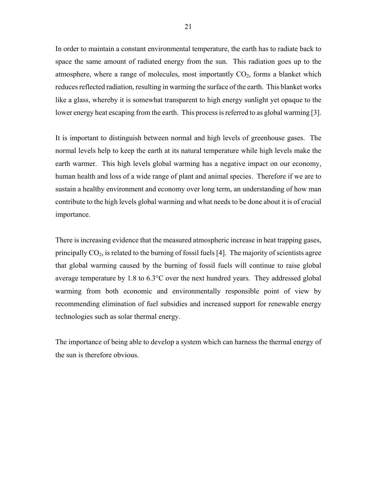In order to maintain a constant environmental temperature, the earth has to radiate back to space the same amount of radiated energy from the sun. This radiation goes up to the atmosphere, where a range of molecules, most importantly  $CO<sub>2</sub>$ , forms a blanket which reduces reflected radiation, resulting in warming the surface of the earth. This blanket works like a glass, whereby it is somewhat transparent to high energy sunlight yet opaque to the lower energy heat escaping from the earth. This process is referred to as global warming [3].

It is important to distinguish between normal and high levels of greenhouse gases. The normal levels help to keep the earth at its natural temperature while high levels make the earth warmer. This high levels global warming has a negative impact on our economy, human health and loss of a wide range of plant and animal species. Therefore if we are to sustain a healthy environment and economy over long term, an understanding of how man contribute to the high levels global warming and what needs to be done about it is of crucial importance.

There is increasing evidence that the measured atmospheric increase in heat trapping gases, principally  $CO<sub>2</sub>$ , is related to the burning of fossil fuels [4]. The majority of scientists agree that global warming caused by the burning of fossil fuels will continue to raise global average temperature by 1.8 to 6.3°C over the next hundred years. They addressed global warming from both economic and environmentally responsible point of view by recommending elimination of fuel subsidies and increased support for renewable energy technologies such as solar thermal energy.

The importance of being able to develop a system which can harness the thermal energy of the sun is therefore obvious.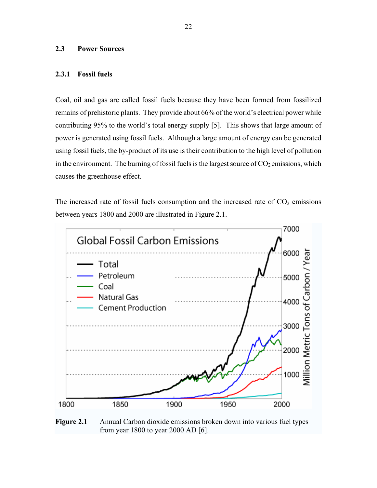## **2.3 Power Sources**

## **2.3.1 Fossil fuels**

Coal, oil and gas are called fossil fuels because they have been formed from fossilized remains of prehistoric plants. They provide about 66% of the world's electrical power while contributing 95% to the world's total energy supply [5]. This shows that large amount of power is generated using fossil fuels. Although a large amount of energy can be generated using fossil fuels, the by-product of its use is their contribution to the high level of pollution in the environment. The burning of fossil fuels is the largest source of  $CO<sub>2</sub>$  emissions, which causes the greenhouse effect.

The increased rate of fossil fuels consumption and the increased rate of  $CO<sub>2</sub>$  emissions between years 1800 and 2000 are illustrated in Figure 2.1.



**Figure 2.1** • Annual Carbon dioxide emissions broken down into various fuel types from year 1800 to year 2000 AD [6].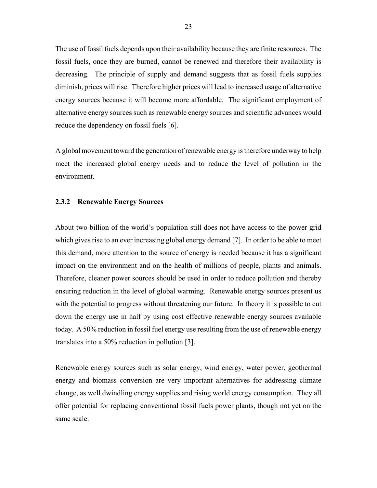The use of fossil fuels depends upon their availability because they are finite resources. The fossil fuels, once they are burned, cannot be renewed and therefore their availability is decreasing. The principle of supply and demand suggests that as fossil fuels supplies diminish, prices will rise. Therefore higher prices will lead to increased usage of alternative energy sources because it will become more affordable. The significant employment of alternative energy sources such as renewable energy sources and scientific advances would reduce the dependency on fossil fuels [6].

A global movement toward the generation of renewable energy is therefore underway to help meet the increased global energy needs and to reduce the level of pollution in the environment.

## **2.3.2 Renewable Energy Sources**

About two billion of the world's population still does not have access to the power grid which gives rise to an ever increasing global energy demand [7]. In order to be able to meet this demand, more attention to the source of energy is needed because it has a significant impact on the environment and on the health of millions of people, plants and animals. Therefore, cleaner power sources should be used in order to reduce pollution and thereby ensuring reduction in the level of global warming. Renewable energy sources present us with the potential to progress without threatening our future. In theory it is possible to cut down the energy use in half by using cost effective renewable energy sources available today. A 50% reduction in fossil fuel energy use resulting from the use of renewable energy translates into a 50% reduction in pollution [3].

Renewable energy sources such as solar energy, wind energy, water power, geothermal energy and biomass conversion are very important alternatives for addressing climate change, as well dwindling energy supplies and rising world energy consumption. They all offer potential for replacing conventional fossil fuels power plants, though not yet on the same scale.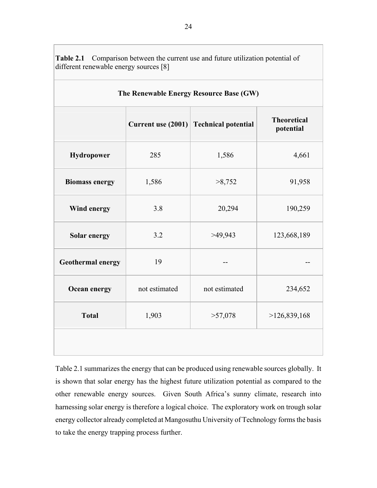| The Renewable Energy Resource Base (GW) |                      |                            |                                 |  |  |  |
|-----------------------------------------|----------------------|----------------------------|---------------------------------|--|--|--|
|                                         | Current use $(2001)$ | <b>Technical potential</b> | <b>Theoretical</b><br>potential |  |  |  |
| Hydropower                              | 285                  | 1,586                      | 4,661                           |  |  |  |
| <b>Biomass energy</b>                   | 1,586                | >8,752                     | 91,958                          |  |  |  |
| Wind energy                             | 3.8                  | 20,294                     | 190,259                         |  |  |  |
| Solar energy                            | 3.2                  | >49,943                    | 123,668,189                     |  |  |  |
| <b>Geothermal energy</b>                | 19                   |                            |                                 |  |  |  |
| Ocean energy                            | not estimated        | not estimated              | 234,652                         |  |  |  |
| <b>Total</b>                            | 1,903                | >57,078                    | >126,839,168                    |  |  |  |
|                                         |                      |                            |                                 |  |  |  |

**Table 2.1** Comparison between the current use and future utilization potential of different renewable energy sources [8]

Table 2.1 summarizes the energy that can be produced using renewable sources globally. It is shown that solar energy has the highest future utilization potential as compared to the other renewable energy sources. Given South Africa's sunny climate, research into harnessing solar energy is therefore a logical choice. The exploratory work on trough solar energy collector already completed at Mangosuthu University of Technology forms the basis to take the energy trapping process further.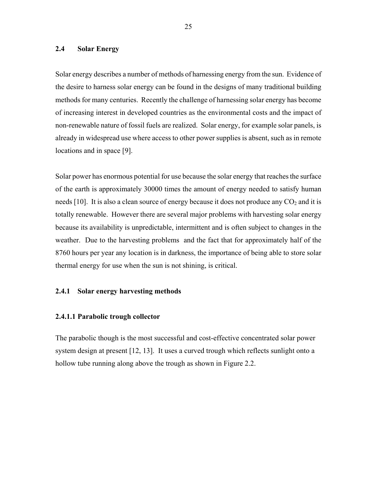## **2.4 Solar Energy**

Solar energy describes a number of methods of harnessing energy from the sun. Evidence of the desire to harness solar energy can be found in the designs of many traditional building methods for many centuries. Recently the challenge of harnessing solar energy has become of increasing interest in developed countries as the environmental costs and the impact of non-renewable nature of fossil fuels are realized. Solar energy, for example solar panels, is already in widespread use where access to other power supplies is absent, such as in remote locations and in space [9].

Solar power has enormous potential for use because the solar energy that reaches the surface of the earth is approximately 30000 times the amount of energy needed to satisfy human needs [10]. It is also a clean source of energy because it does not produce any  $CO<sub>2</sub>$  and it is totally renewable. However there are several major problems with harvesting solar energy because its availability is unpredictable, intermittent and is often subject to changes in the weather. Due to the harvesting problems and the fact that for approximately half of the 8760 hours per year any location is in darkness, the importance of being able to store solar thermal energy for use when the sun is not shining, is critical.

### **2.4.1 Solar energy harvesting methods**

#### **2.4.1.1 Parabolic trough collector**

The parabolic though is the most successful and cost-effective concentrated solar power system design at present [12, 13]. It uses a curved trough which reflects sunlight onto a hollow tube running along above the trough as shown in Figure 2.2.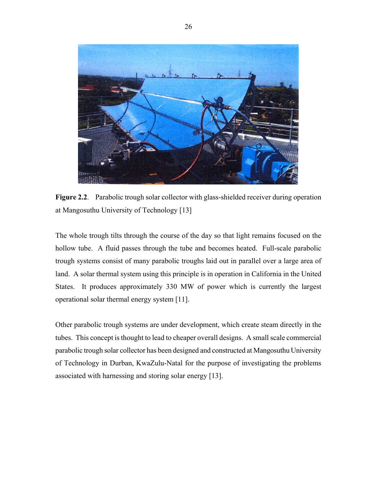

**Figure 2.2**. Parabolic trough solar collector with glass-shielded receiver during operation at Mangosuthu University of Technology [13]

The whole trough tilts through the course of the day so that light remains focused on the hollow tube. A fluid passes through the tube and becomes heated. Full-scale parabolic trough systems consist of many parabolic troughs laid out in parallel over a large area of land. A solar thermal system using this principle is in operation in California in the United States. It produces approximately 330 MW of power which is currently the largest operational solar thermal energy system [11].

Other parabolic trough systems are under development, which create steam directly in the tubes. This concept is thought to lead to cheaper overall designs. A small scale commercial parabolic trough solar collector has been designed and constructed at Mangosuthu University of Technology in Durban, KwaZulu-Natal for the purpose of investigating the problems associated with harnessing and storing solar energy [13].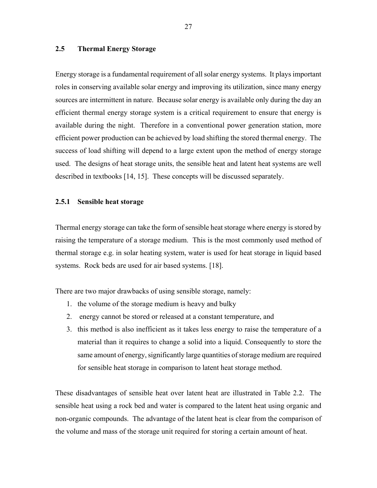## **2.5 Thermal Energy Storage**

Energy storage is a fundamental requirement of all solar energy systems. It plays important roles in conserving available solar energy and improving its utilization, since many energy sources are intermittent in nature. Because solar energy is available only during the day an efficient thermal energy storage system is a critical requirement to ensure that energy is available during the night. Therefore in a conventional power generation station, more efficient power production can be achieved by load shifting the stored thermal energy. The success of load shifting will depend to a large extent upon the method of energy storage used. The designs of heat storage units, the sensible heat and latent heat systems are well described in textbooks [14, 15]. These concepts will be discussed separately.

## **2.5.1 Sensible heat storage**

Thermal energy storage can take the form of sensible heat storage where energy is stored by raising the temperature of a storage medium. This is the most commonly used method of thermal storage e.g. in solar heating system, water is used for heat storage in liquid based systems. Rock beds are used for air based systems. [18].

There are two major drawbacks of using sensible storage, namely:

- 1. the volume of the storage medium is heavy and bulky
- 2. energy cannot be stored or released at a constant temperature, and
- 3. this method is also inefficient as it takes less energy to raise the temperature of a material than it requires to change a solid into a liquid. Consequently to store the same amount of energy, significantly large quantities of storage medium are required for sensible heat storage in comparison to latent heat storage method.

These disadvantages of sensible heat over latent heat are illustrated in Table 2.2. The sensible heat using a rock bed and water is compared to the latent heat using organic and non-organic compounds. The advantage of the latent heat is clear from the comparison of the volume and mass of the storage unit required for storing a certain amount of heat.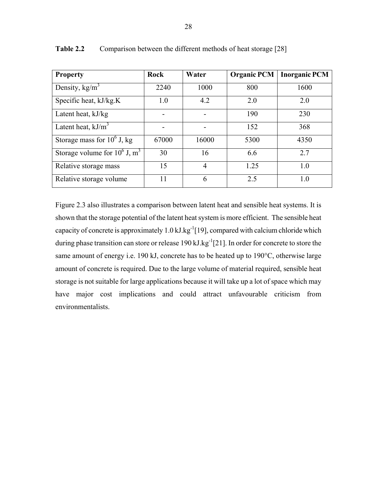| <b>Property</b>                             | Rock  | Water | <b>Organic PCM</b> | <b>Inorganic PCM</b> |
|---------------------------------------------|-------|-------|--------------------|----------------------|
| Density, $kg/m3$                            | 2240  | 1000  | 800                | 1600                 |
| Specific heat, kJ/kg.K                      | 1.0   | 4.2   | 2.0                | 2.0                  |
| Latent heat, kJ/kg                          |       |       | 190                | 230                  |
| Latent heat, $kJ/m3$                        |       |       | 152                | 368                  |
| Storage mass for $10^6$ J, kg               | 67000 | 16000 | 5300               | 4350                 |
| Storage volume for $10^6$ J, m <sup>3</sup> | 30    | 16    | 6.6                | 2.7                  |
| Relative storage mass                       | 15    | 4     | 1.25               | 1.0                  |
| Relative storage volume                     | 11    | 6     | 2.5                | 1.0                  |

**Table 2.2** Comparison between the different methods of heat storage [28]

Figure 2.3 also illustrates a comparison between latent heat and sensible heat systems. It is shown that the storage potential of the latent heat system is more efficient. The sensible heat capacity of concrete is approximately 1.0 kJ.kg $^{-1}$ [19], compared with calcium chloride which during phase transition can store or release 190 kJ.kg $^{-1}$ [21]. In order for concrete to store the same amount of energy i.e. 190 kJ, concrete has to be heated up to 190°C, otherwise large amount of concrete is required. Due to the large volume of material required, sensible heat storage is not suitable for large applications because it will take up a lot of space which may have major cost implications and could attract unfavourable criticism from environmentalists.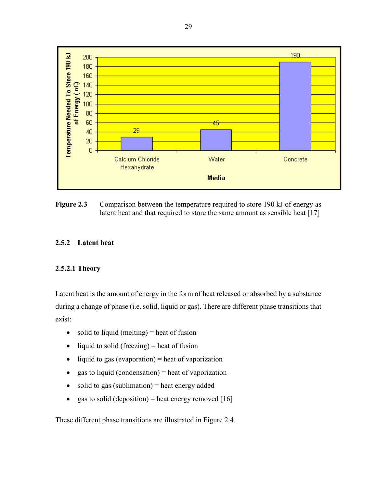

**Figure 2.3** Comparison between the temperature required to store 190 kJ of energy as latent heat and that required to store the same amount as sensible heat [17]

## **2.5.2 Latent heat**

## **2.5.2.1 Theory**

Latent heat is the amount of energy in the form of heat released or absorbed by a substance during a change of phase (i.e. solid, liquid or gas). There are different phase transitions that exist:

- $\bullet$  solid to liquid (melting) = heat of fusion
- liquid to solid (freezing) = heat of fusion
- $\bullet$  liquid to gas (evaporation) = heat of vaporization
- gas to liquid (condensation) = heat of vaporization
- $\bullet$  solid to gas (sublimation) = heat energy added
- gas to solid (deposition) = heat energy removed  $[16]$

These different phase transitions are illustrated in Figure 2.4.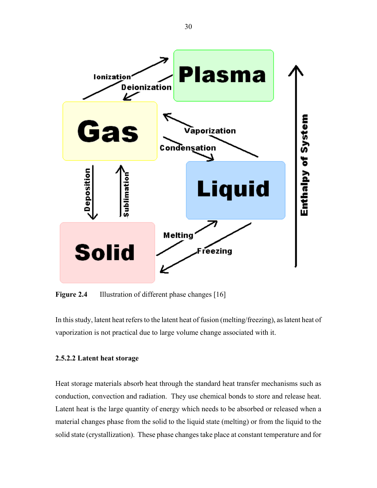

**Figure 2.4** Illustration of different phase changes [16]

In this study, latent heat refers to the latent heat of fusion (melting/freezing), as latent heat of vaporization is not practical due to large volume change associated with it.

## **2.5.2.2 Latent heat storage**

Heat storage materials absorb heat through the standard heat transfer mechanisms such as conduction, convection and radiation. They use chemical bonds to store and release heat. Latent heat is the large quantity of energy which needs to be absorbed or released when a material changes phase from the solid to the liquid state (melting) or from the liquid to the solid state (crystallization). These phase changes take place at constant temperature and for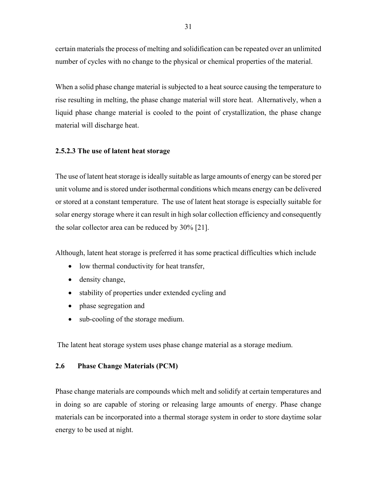certain materials the process of melting and solidification can be repeated over an unlimited number of cycles with no change to the physical or chemical properties of the material.

When a solid phase change material is subjected to a heat source causing the temperature to rise resulting in melting, the phase change material will store heat. Alternatively, when a liquid phase change material is cooled to the point of crystallization, the phase change material will discharge heat.

## **2.5.2.3 The use of latent heat storage**

The use of latent heat storage is ideally suitable as large amounts of energy can be stored per unit volume and is stored under isothermal conditions which means energy can be delivered or stored at a constant temperature. The use of latent heat storage is especially suitable for solar energy storage where it can result in high solar collection efficiency and consequently the solar collector area can be reduced by 30% [21].

Although, latent heat storage is preferred it has some practical difficulties which include

- low thermal conductivity for heat transfer,
- density change,
- stability of properties under extended cycling and
- phase segregation and
- sub-cooling of the storage medium.

The latent heat storage system uses phase change material as a storage medium.

## **2.6 Phase Change Materials (PCM)**

Phase change materials are compounds which melt and solidify at certain temperatures and in doing so are capable of storing or releasing large amounts of energy. Phase change materials can be incorporated into a thermal storage system in order to store daytime solar energy to be used at night.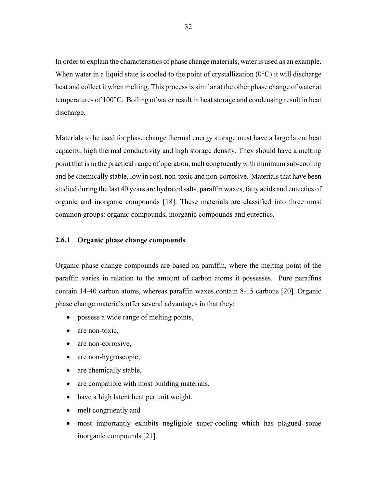In order to explain the characteristics of phase change materials, water is used as an example. When water in a liquid state is cooled to the point of crystallization  $(0^{\circ}C)$  it will discharge heat and collect it when melting. This process is similar at the other phase change of water at temperatures of 100°C. Boiling of water result in heat storage and condensing result in heat discharge.

Materials to be used for phase change thermal energy storage must have a large latent heat capacity, high thermal conductivity and high storage density. They should have a melting point that is in the practical range of operation, melt congruently with minimum sub-cooling and be chemically stable, low in cost, non-toxic and non-corrosive. Materials that have been studied during the last 40 years are hydrated salts, paraffin waxes, fatty acids and eutectics of organic and inorganic compounds [18]. These materials are classified into three most common groups: organic compounds, inorganic compounds and eutectics.

## **2.6.1 Organic phase change compounds**

Organic phase change compounds are based on paraffin, where the melting point of the paraffin varies in relation to the amount of carbon atoms it possesses. Pure paraffins contain 14-40 carbon atoms, whereas paraffin waxes contain 8-15 carbons [20]. Organic phase change materials offer several advantages in that they:

- possess a wide range of melting points,
- are non-toxic,
- are non-corrosive,
- are non-hygroscopic,
- are chemically stable,
- are compatible with most building materials,
- have a high latent heat per unit weight,
- melt congruently and
- most importantly exhibits negligible super-cooling which has plagued some inorganic compounds [21].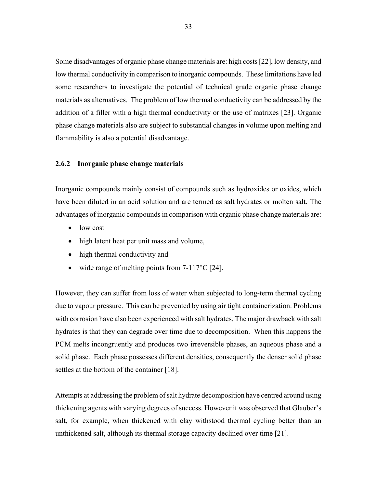Some disadvantages of organic phase change materials are: high costs [22], low density, and low thermal conductivity in comparison to inorganic compounds. These limitations have led some researchers to investigate the potential of technical grade organic phase change materials as alternatives. The problem of low thermal conductivity can be addressed by the addition of a filler with a high thermal conductivity or the use of matrixes [23]. Organic phase change materials also are subject to substantial changes in volume upon melting and flammability is also a potential disadvantage.

## **2.6.2 Inorganic phase change materials**

Inorganic compounds mainly consist of compounds such as hydroxides or oxides, which have been diluted in an acid solution and are termed as salt hydrates or molten salt. The advantages of inorganic compounds in comparison with organic phase change materials are:

- low cost
- high latent heat per unit mass and volume,
- high thermal conductivity and
- wide range of melting points from  $7-117^{\circ}C$  [24].

However, they can suffer from loss of water when subjected to long-term thermal cycling due to vapour pressure. This can be prevented by using air tight containerization. Problems with corrosion have also been experienced with salt hydrates. The major drawback with salt hydrates is that they can degrade over time due to decomposition. When this happens the PCM melts incongruently and produces two irreversible phases, an aqueous phase and a solid phase. Each phase possesses different densities, consequently the denser solid phase settles at the bottom of the container [18].

Attempts at addressing the problem of salt hydrate decomposition have centred around using thickening agents with varying degrees of success. However it was observed that Glauber's salt, for example, when thickened with clay withstood thermal cycling better than an unthickened salt, although its thermal storage capacity declined over time [21].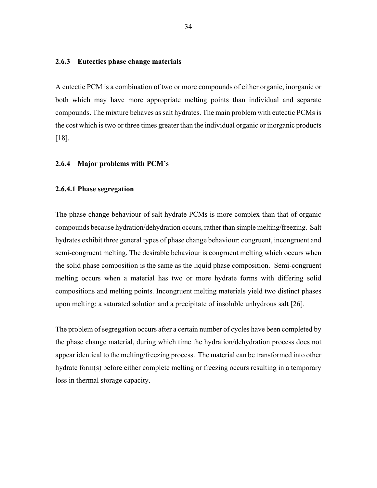## **2.6.3 Eutectics phase change materials**

A eutectic PCM is a combination of two or more compounds of either organic, inorganic or both which may have more appropriate melting points than individual and separate compounds. The mixture behaves as salt hydrates. The main problem with eutectic PCMs is the cost which is two or three times greater than the individual organic or inorganic products [18].

#### **2.6.4 Major problems with PCM's**

#### **2.6.4.1 Phase segregation**

The phase change behaviour of salt hydrate PCMs is more complex than that of organic compounds because hydration/dehydration occurs, rather than simple melting/freezing. Salt hydrates exhibit three general types of phase change behaviour: congruent, incongruent and semi-congruent melting. The desirable behaviour is congruent melting which occurs when the solid phase composition is the same as the liquid phase composition. Semi-congruent melting occurs when a material has two or more hydrate forms with differing solid compositions and melting points. Incongruent melting materials yield two distinct phases upon melting: a saturated solution and a precipitate of insoluble unhydrous salt [26].

The problem of segregation occurs after a certain number of cycles have been completed by the phase change material, during which time the hydration/dehydration process does not appear identical to the melting/freezing process. The material can be transformed into other hydrate form(s) before either complete melting or freezing occurs resulting in a temporary loss in thermal storage capacity.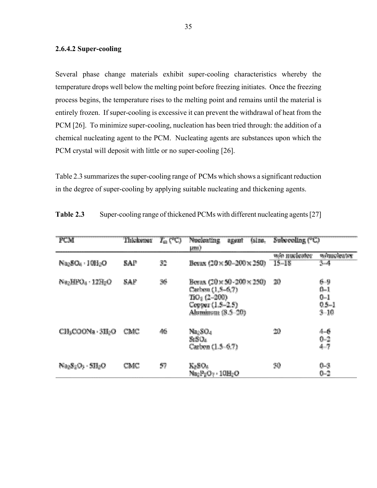#### **2.6.4.2 Super-cooling**

Several phase change materials exhibit super-cooling characteristics whereby the temperature drops well below the melting point before freezing initiates. Once the freezing process begins, the temperature rises to the melting point and remains until the material is entirely frozen. If super-cooling is excessive it can prevent the withdrawal of heat from the PCM [26]. To minimize super-cooling, nucleation has been tried through: the addition of a chemical nucleating agent to the PCM. Nucleating agents are substances upon which the PCM crystal will deposit with little or no super-cooling [26].

Table 2.3 summarizes the super-cooling range of PCMs which shows a significant reduction in the degree of super-cooling by applying suitable nucleating and thickening agents.

| PCM                                                       | Thickener | $T_{m}$ (°C) | <b>Nucleating</b><br>agent<br><b>LITE</b> )                                                                          | (size. Subcooling (°C)                                       |
|-----------------------------------------------------------|-----------|--------------|----------------------------------------------------------------------------------------------------------------------|--------------------------------------------------------------|
| $Na2SO4 : 10H2O$                                          | SAP       | 32           | Bevax $(20 \times 50 - 200 \times 250)$                                                                              | w/o nucleater<br>whucleater<br>$15 - 15$<br>$3 - 4$          |
| N <sub>82</sub> HPO <sub>4</sub> · 12H <sub>2</sub> O     | SAP       | 36           | Berax (20 × 50-200 × 250)<br>Carbon (1, 5-6, ?)<br>TiO <sub>2</sub> (2-200)<br>Copper (1.5-2.5)<br>Aluminum (8.5-20) | 20<br>$6 - 9$<br>$0 - 1$<br>$0 - 1$<br>$0.5 - 1$<br>$3 - 10$ |
| CH <sub>3</sub> COONa - 3H <sub>2</sub> O                 | CMC       | 46           | Na <sub>2</sub> SO <sub>4</sub><br>SrSO4<br>Carbon (1.5-6.7)                                                         | 20<br>$4 - 6$<br>$0 - 2$<br>$4 - 7$                          |
| $\text{Na}_2\text{S}_2\text{O}_3\cdot\text{SH}_2\text{O}$ | CMC       | 57           | K2SO4<br>$Na2P2O7$ , 10H <sub>2</sub> O                                                                              | 30<br>$0 - 3$<br>$0 - 2$                                     |

**Table 2.3** Super-cooling range of thickened PCMs with different nucleating agents [27]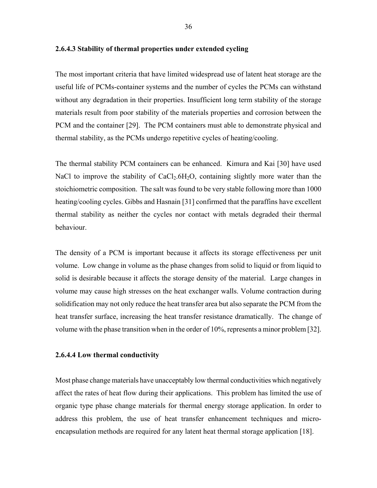The most important criteria that have limited widespread use of latent heat storage are the useful life of PCMs-container systems and the number of cycles the PCMs can withstand without any degradation in their properties. Insufficient long term stability of the storage materials result from poor stability of the materials properties and corrosion between the PCM and the container [29]. The PCM containers must able to demonstrate physical and thermal stability, as the PCMs undergo repetitive cycles of heating/cooling.

The thermal stability PCM containers can be enhanced. Kimura and Kai [30] have used NaCl to improve the stability of  $CaCl<sub>2</sub>.6H<sub>2</sub>O$ , containing slightly more water than the stoichiometric composition. The salt was found to be very stable following more than 1000 heating/cooling cycles. Gibbs and Hasnain [31] confirmed that the paraffins have excellent thermal stability as neither the cycles nor contact with metals degraded their thermal behaviour.

The density of a PCM is important because it affects its storage effectiveness per unit volume. Low change in volume as the phase changes from solid to liquid or from liquid to solid is desirable because it affects the storage density of the material. Large changes in volume may cause high stresses on the heat exchanger walls. Volume contraction during solidification may not only reduce the heat transfer area but also separate the PCM from the heat transfer surface, increasing the heat transfer resistance dramatically. The change of volume with the phase transition when in the order of 10%, represents a minor problem [32].

#### **2.6.4.4 Low thermal conductivity**

Most phase change materials have unacceptably low thermal conductivities which negatively affect the rates of heat flow during their applications. This problem has limited the use of organic type phase change materials for thermal energy storage application. In order to address this problem, the use of heat transfer enhancement techniques and microencapsulation methods are required for any latent heat thermal storage application [18].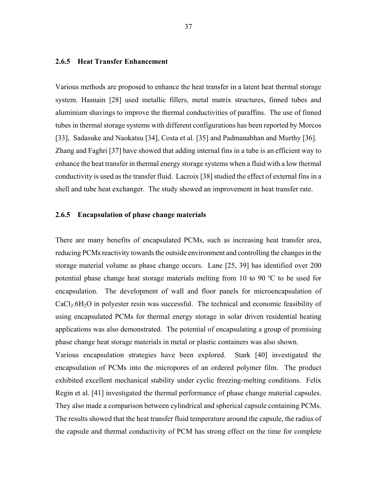#### **2.6.5 Heat Transfer Enhancement**

Various methods are proposed to enhance the heat transfer in a latent heat thermal storage system. Hasnain [28] used metallic fillers, metal matrix structures, finned tubes and aluminium shavings to improve the thermal conductivities of paraffins. The use of finned tubes in thermal storage systems with different configurations has been reported by Morcos [33], Sadasuke and Naokatsu [34], Costa et al. [35] and Padmanabhan and Murthy [36]. Zhang and Faghri [37] have showed that adding internal fins in a tube is an efficient way to enhance the heat transfer in thermal energy storage systems when a fluid with a low thermal conductivity is used as the transfer fluid. Lacroix [38] studied the effect of external fins in a shell and tube heat exchanger. The study showed an improvement in heat transfer rate.

#### **2.6.5 Encapsulation of phase change materials**

There are many benefits of encapsulated PCMs, such as increasing heat transfer area, reducing PCMs reactivity towards the outside environment and controlling the changes in the storage material volume as phase change occurs. Lane [25, 39] has identified over 200 potential phase change heat storage materials melting from 10 to 90 $\degree$ C to be used for encapsulation. The development of wall and floor panels for microencapsulation of  $CaCl<sub>2</sub>.6H<sub>2</sub>O$  in polyester resin was successful. The technical and economic feasibility of using encapsulated PCMs for thermal energy storage in solar driven residential heating applications was also demonstrated. The potential of encapsulating a group of promising phase change heat storage materials in metal or plastic containers was also shown.

Various encapsulation strategies have been explored. Stark [40] investigated the encapsulation of PCMs into the micropores of an ordered polymer film. The product exhibited excellent mechanical stability under cyclic freezing-melting conditions. Felix Regin et al. [41] investigated the thermal performance of phase change material capsules. They also made a comparison between cylindrical and spherical capsule containing PCMs. The results showed that the heat transfer fluid temperature around the capsule, the radius of the capsule and thermal conductivity of PCM has strong effect on the time for complete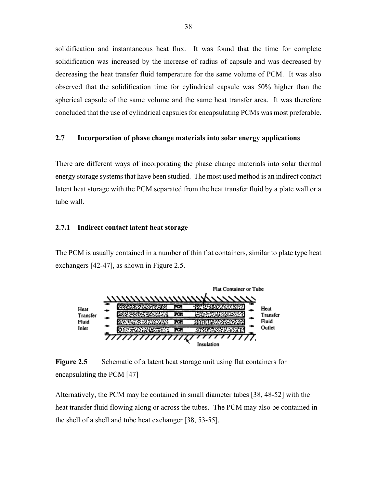solidification and instantaneous heat flux. It was found that the time for complete solidification was increased by the increase of radius of capsule and was decreased by decreasing the heat transfer fluid temperature for the same volume of PCM. It was also observed that the solidification time for cylindrical capsule was 50% higher than the spherical capsule of the same volume and the same heat transfer area. It was therefore concluded that the use of cylindrical capsules for encapsulating PCMs was most preferable.

#### **2.7 Incorporation of phase change materials into solar energy applications**

There are different ways of incorporating the phase change materials into solar thermal energy storage systems that have been studied. The most used method is an indirect contact latent heat storage with the PCM separated from the heat transfer fluid by a plate wall or a tube wall.

#### **2.7.1 Indirect contact latent heat storage**

The PCM is usually contained in a number of thin flat containers, similar to plate type heat exchangers [42-47], as shown in Figure 2.5.



**Figure 2.5** Schematic of a latent heat storage unit using flat containers for encapsulating the PCM [47]

Alternatively, the PCM may be contained in small diameter tubes [38, 48-52] with the heat transfer fluid flowing along or across the tubes. The PCM may also be contained in the shell of a shell and tube heat exchanger [38, 53-55].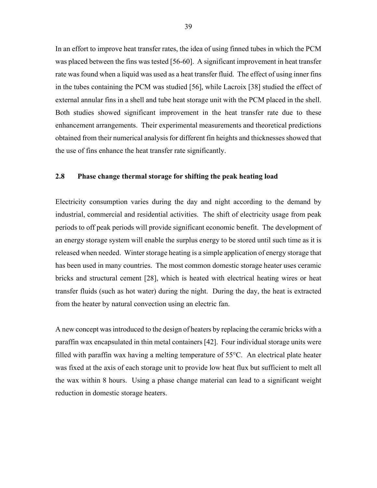In an effort to improve heat transfer rates, the idea of using finned tubes in which the PCM was placed between the fins was tested [56-60]. A significant improvement in heat transfer rate was found when a liquid was used as a heat transfer fluid. The effect of using inner fins in the tubes containing the PCM was studied [56], while Lacroix [38] studied the effect of external annular fins in a shell and tube heat storage unit with the PCM placed in the shell. Both studies showed significant improvement in the heat transfer rate due to these enhancement arrangements. Their experimental measurements and theoretical predictions obtained from their numerical analysis for different fin heights and thicknesses showed that the use of fins enhance the heat transfer rate significantly.

#### **2.8 Phase change thermal storage for shifting the peak heating load**

Electricity consumption varies during the day and night according to the demand by industrial, commercial and residential activities. The shift of electricity usage from peak periods to off peak periods will provide significant economic benefit. The development of an energy storage system will enable the surplus energy to be stored until such time as it is released when needed. Winter storage heating is a simple application of energy storage that has been used in many countries. The most common domestic storage heater uses ceramic bricks and structural cement [28], which is heated with electrical heating wires or heat transfer fluids (such as hot water) during the night. During the day, the heat is extracted from the heater by natural convection using an electric fan.

A new concept was introduced to the design of heaters by replacing the ceramic bricks with a paraffin wax encapsulated in thin metal containers [42]. Four individual storage units were filled with paraffin wax having a melting temperature of 55°C. An electrical plate heater was fixed at the axis of each storage unit to provide low heat flux but sufficient to melt all the wax within 8 hours. Using a phase change material can lead to a significant weight reduction in domestic storage heaters.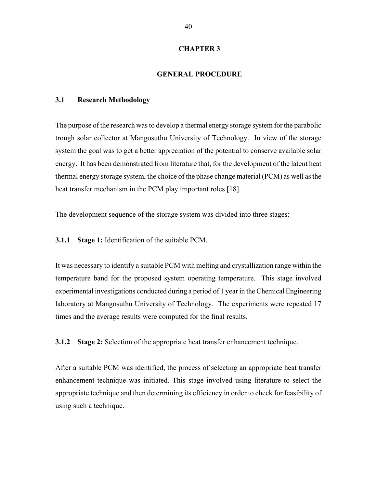#### **CHAPTER 3**

#### **GENERAL PROCEDURE**

#### **3.1 Research Methodology**

The purpose of the research was to develop a thermal energy storage system for the parabolic trough solar collector at Mangosuthu University of Technology. In view of the storage system the goal was to get a better appreciation of the potential to conserve available solar energy. It has been demonstrated from literature that, for the development of the latent heat thermal energy storage system, the choice of the phase change material (PCM) as well as the heat transfer mechanism in the PCM play important roles [18].

The development sequence of the storage system was divided into three stages:

**3.1.1 Stage 1:** Identification of the suitable PCM.

It was necessary to identify a suitable PCM with melting and crystallization range within the temperature band for the proposed system operating temperature. This stage involved experimental investigations conducted during a period of 1 year in the Chemical Engineering laboratory at Mangosuthu University of Technology. The experiments were repeated 17 times and the average results were computed for the final results.

**3.1.2 Stage 2:** Selection of the appropriate heat transfer enhancement technique.

After a suitable PCM was identified, the process of selecting an appropriate heat transfer enhancement technique was initiated. This stage involved using literature to select the appropriate technique and then determining its efficiency in order to check for feasibility of using such a technique.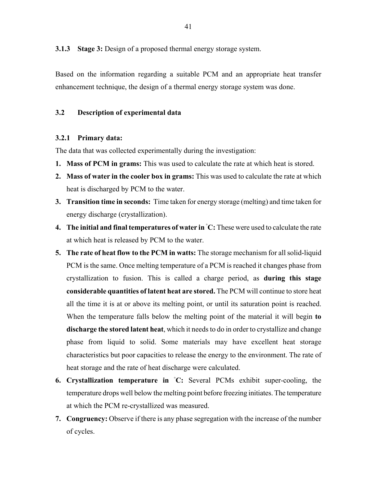**3.1.3 Stage 3:** Design of a proposed thermal energy storage system.

Based on the information regarding a suitable PCM and an appropriate heat transfer enhancement technique, the design of a thermal energy storage system was done.

#### **3.2 Description of experimental data**

#### **3.2.1 Primary data:**

The data that was collected experimentally during the investigation:

- **1. Mass of PCM in grams:** This was used to calculate the rate at which heat is stored.
- **2. Mass of water in the cooler box in grams:** This was used to calculate the rate at which heat is discharged by PCM to the water.
- **3. Transition time in seconds:** Time taken for energy storage (melting) and time taken for energy discharge (crystallization).
- **4. The initial and final temperatures of water in ◦ C:** These were used to calculate the rate at which heat is released by PCM to the water.
- **5. The rate of heat flow to the PCM in watts:** The storage mechanism for all solid-liquid PCM is the same. Once melting temperature of a PCM is reached it changes phase from crystallization to fusion. This is called a charge period, as **during this stage considerable quantities of latent heat are stored.** The PCM will continue to store heat all the time it is at or above its melting point, or until its saturation point is reached. When the temperature falls below the melting point of the material it will begin **to discharge the stored latent heat**, which it needs to do in order to crystallize and change phase from liquid to solid. Some materials may have excellent heat storage characteristics but poor capacities to release the energy to the environment. The rate of heat storage and the rate of heat discharge were calculated.
- **6. Crystallization temperature in ◦ C:** Several PCMs exhibit super-cooling, the temperature drops well below the melting point before freezing initiates. The temperature at which the PCM re-crystallized was measured.
- **7. Congruency:** Observe if there is any phase segregation with the increase of the number of cycles.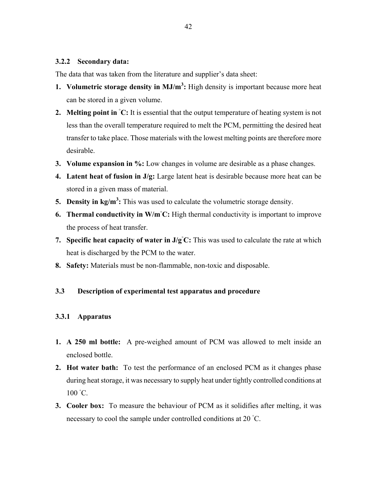#### **3.2.2 Secondary data:**

The data that was taken from the literature and supplier's data sheet:

- **1. Volumetric storage density in MJ/m<sup>3</sup> :** High density is important because more heat can be stored in a given volume.
- **2. Melting point in**  $\textdegree$ **C:** It is essential that the output temperature of heating system is not less than the overall temperature required to melt the PCM, permitting the desired heat transfer to take place. Those materials with the lowest melting points are therefore more desirable.
- **3. Volume expansion in %:** Low changes in volume are desirable as a phase changes.
- **4. Latent heat of fusion in J/g:** Large latent heat is desirable because more heat can be stored in a given mass of material.
- **5. Density in kg/m<sup>3</sup> :** This was used to calculate the volumetric storage density.
- **6. Thermal conductivity in W/m◦ C:** High thermal conductivity is important to improve the process of heat transfer.
- **7. Specific heat capacity of water in J/g<sup>°</sup>C:** This was used to calculate the rate at which heat is discharged by the PCM to the water.
- **8. Safety:** Materials must be non-flammable, non-toxic and disposable.

#### **3.3 Description of experimental test apparatus and procedure**

#### **3.3.1 Apparatus**

- **1. A 250 ml bottle:** A pre-weighed amount of PCM was allowed to melt inside an enclosed bottle.
- **2. Hot water bath:** To test the performance of an enclosed PCM as it changes phase during heat storage, it was necessary to supply heat under tightly controlled conditions at 100 °C.
- **3. Cooler box:** To measure the behaviour of PCM as it solidifies after melting, it was necessary to cool the sample under controlled conditions at 20 °C.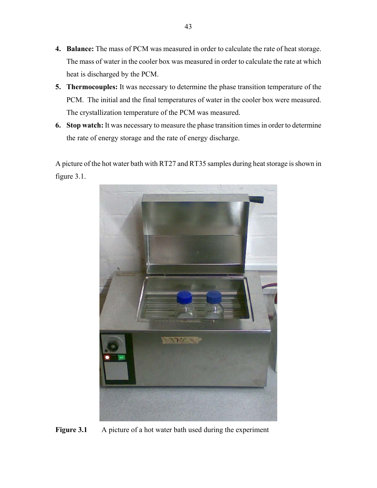- **4. Balance:** The mass of PCM was measured in order to calculate the rate of heat storage. The mass of water in the cooler box was measured in order to calculate the rate at which heat is discharged by the PCM.
- **5. Thermocouples:** It was necessary to determine the phase transition temperature of the PCM. The initial and the final temperatures of water in the cooler box were measured. The crystallization temperature of the PCM was measured.
- **6. Stop watch:** It was necessary to measure the phase transition times in order to determine the rate of energy storage and the rate of energy discharge.

A picture of the hot water bath with RT27 and RT35 samples during heat storage is shown in figure 3.1.



**Figure 3.1** A picture of a hot water bath used during the experiment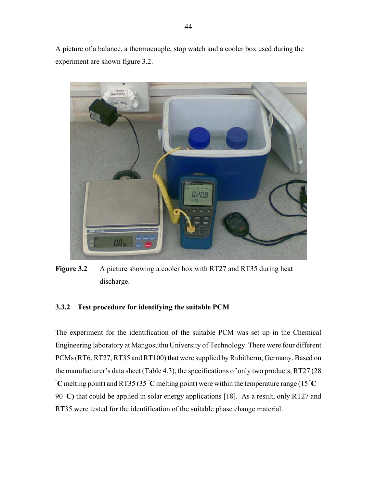A picture of a balance, a thermocouple, stop watch and a cooler box used during the experiment are shown figure 3.2.



**Figure 3.2** A picture showing a cooler box with RT27 and RT35 during heat discharge.

#### **3.3.2 Test procedure for identifying the suitable PCM**

The experiment for the identification of the suitable PCM was set up in the Chemical Engineering laboratory at Mangosuthu University of Technology. There were four different PCMs (RT6, RT27, RT35 and RT100) that were supplied by Rubitherm, Germany. Based on the manufacturer's data sheet (Table 4.3), the specifications of only two products, RT27 (28 **◦ C** melting point) and RT35 (35 **◦ C** melting point) were within the temperature range (15 **◦ C** – 90 °C) that could be applied in solar energy applications [18]. As a result, only RT27 and RT35 were tested for the identification of the suitable phase change material.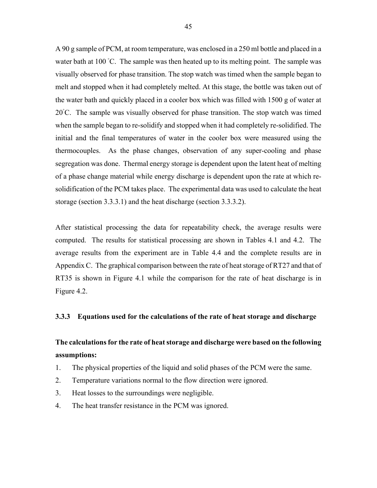A 90 g sample of PCM, at room temperature, was enclosed in a 250 ml bottle and placed in a water bath at 100 °C. The sample was then heated up to its melting point. The sample was visually observed for phase transition. The stop watch was timed when the sample began to melt and stopped when it had completely melted. At this stage, the bottle was taken out of the water bath and quickly placed in a cooler box which was filled with 1500 g of water at 20℃. The sample was visually observed for phase transition. The stop watch was timed when the sample began to re-solidify and stopped when it had completely re-solidified. The initial and the final temperatures of water in the cooler box were measured using the thermocouples. As the phase changes, observation of any super-cooling and phase segregation was done. Thermal energy storage is dependent upon the latent heat of melting of a phase change material while energy discharge is dependent upon the rate at which resolidification of the PCM takes place. The experimental data was used to calculate the heat storage (section 3.3.3.1) and the heat discharge (section 3.3.3.2).

After statistical processing the data for repeatability check, the average results were computed. The results for statistical processing are shown in Tables 4.1 and 4.2. The average results from the experiment are in Table 4.4 and the complete results are in Appendix C. The graphical comparison between the rate of heat storage of RT27 and that of RT35 is shown in Figure 4.1 while the comparison for the rate of heat discharge is in Figure 4.2.

#### **3.3.3 Equations used for the calculations of the rate of heat storage and discharge**

#### **The calculations for the rate of heat storage and discharge were based on the following assumptions:**

- 1. The physical properties of the liquid and solid phases of the PCM were the same.
- 2. Temperature variations normal to the flow direction were ignored.
- 3. Heat losses to the surroundings were negligible.
- 4. The heat transfer resistance in the PCM was ignored.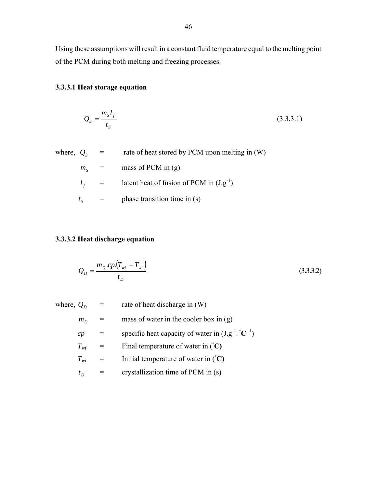Using these assumptions will result in a constant fluid temperature equal to the melting point of the PCM during both melting and freezing processes.

#### **3.3.3.1 Heat storage equation**

$$
Q_s = \frac{m_s l_f}{t_s} \tag{3.3.3.1}
$$

where,  $Q_s$  = rate of heat stored by PCM upon melting in (W)  $m<sub>s</sub>$  = mass of PCM in (g)

- $l_f$  = latent heat of fusion of PCM in  $(J.g^{-1})$
- $t_s$  = phase transition time in (s)

#### **3.3.3.2 Heat discharge equation**

$$
Q_D = \frac{m_D \cdot cp \cdot (T_{wf} - T_{wi})}{t_D} \tag{3.3.3.2}
$$

where, 
$$
Q_D
$$
 = rate of heat discharge in (W)  
\n $m_D$  = mass of water in the cooler box in (g)  
\n $cp$  = specific heat capacity of water in (J.g<sup>-1</sup>.°C<sup>-1</sup>)  
\n $T_{wf}$  = Final temperature of water in (°C)  
\n $T_{wi}$  = Initial temperature of water in (°C)  
\n $t_D$  = crystallization time of PCM in (s)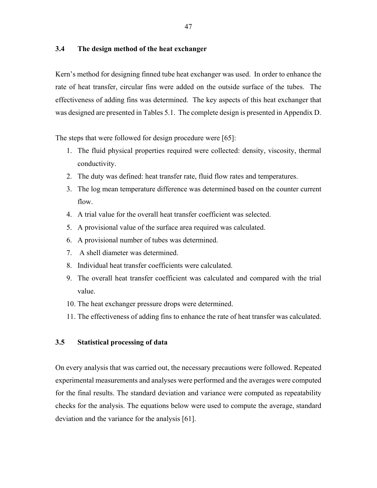#### **3.4 The design method of the heat exchanger**

Kern's method for designing finned tube heat exchanger was used. In order to enhance the rate of heat transfer, circular fins were added on the outside surface of the tubes. The effectiveness of adding fins was determined. The key aspects of this heat exchanger that was designed are presented in Tables 5.1. The complete design is presented in Appendix D.

The steps that were followed for design procedure were [65]:

- 1. The fluid physical properties required were collected: density, viscosity, thermal conductivity.
- 2. The duty was defined: heat transfer rate, fluid flow rates and temperatures.
- 3. The log mean temperature difference was determined based on the counter current flow.
- 4. A trial value for the overall heat transfer coefficient was selected.
- 5. A provisional value of the surface area required was calculated.
- 6. A provisional number of tubes was determined.
- 7. A shell diameter was determined.
- 8. Individual heat transfer coefficients were calculated.
- 9. The overall heat transfer coefficient was calculated and compared with the trial value.
- 10. The heat exchanger pressure drops were determined.
- 11. The effectiveness of adding fins to enhance the rate of heat transfer was calculated.

#### **3.5 Statistical processing of data**

On every analysis that was carried out, the necessary precautions were followed. Repeated experimental measurements and analyses were performed and the averages were computed for the final results. The standard deviation and variance were computed as repeatability checks for the analysis. The equations below were used to compute the average, standard deviation and the variance for the analysis [61].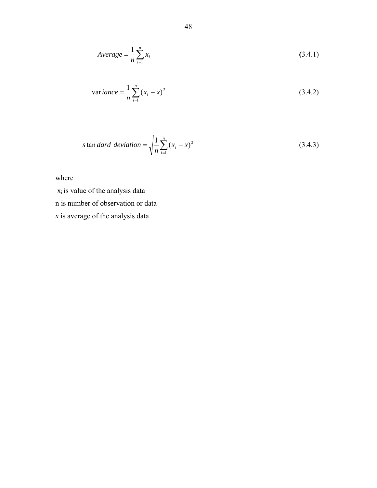$$
Average = \frac{1}{n} \sum_{i=1}^{n} x_i
$$
\n(3.4.1)

variance = 
$$
\frac{1}{n} \sum_{i=1}^{n} (x_i - x)^2
$$
 (3.4.2)

$$
s \tan \text{dard deviation} = \sqrt{\frac{1}{n} \sum_{i=1}^{n} (x_i - x)^2}
$$
\n(3.4.3)

where

 $x_i$  is value of the analysis data

n is number of observation or data

*x* is average of the analysis data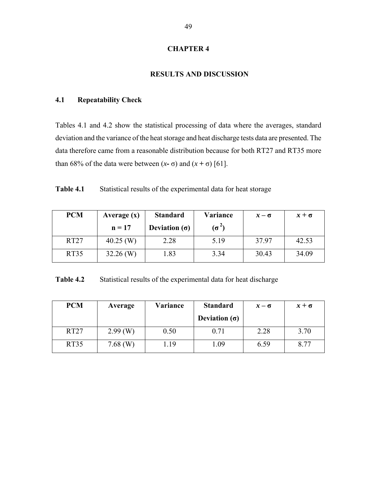#### **CHAPTER 4**

#### **RESULTS AND DISCUSSION**

#### **4.1 Repeatability Check**

Tables 4.1 and 4.2 show the statistical processing of data where the averages, standard deviation and the variance of the heat storage and heat discharge tests data are presented. The data therefore came from a reasonable distribution because for both RT27 and RT35 more than 68% of the data were between  $(x - \sigma)$  and  $(x + \sigma)$  [61].

**Table 4.1** Statistical results of the experimental data for heat storage

| <b>PCM</b>  | Average $(x)$ | <b>Standard</b>      | Variance     | $x - \sigma$ | $x + \sigma$ |
|-------------|---------------|----------------------|--------------|--------------|--------------|
|             | $n = 17$      | Deviation $(\sigma)$ | $(\sigma^2)$ |              |              |
| <b>RT27</b> | $40.25$ (W)   | 2.28                 | 5.19         | 37.97        | 42.53        |
| RT35        | $32.26$ (W)   | 1.83                 | 3.34         | 30.43        | 34.09        |

**Table 4.2** Statistical results of the experimental data for heat discharge

| <b>PCM</b>  | Average    | Variance | <b>Standard</b>      | $x - \sigma$ | $x + \sigma$ |
|-------------|------------|----------|----------------------|--------------|--------------|
|             |            |          | Deviation $(\sigma)$ |              |              |
| <b>RT27</b> | $2.99$ (W) | 0.50     | 0.71                 | 2.28         | 3.70         |
| RT35        | 7.68 $(W)$ | 1.19     | l.09                 | 6.59         | 8.77         |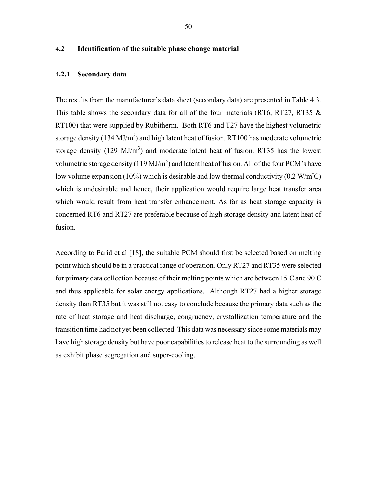#### **4.2 Identification of the suitable phase change material**

#### **4.2.1 Secondary data**

The results from the manufacturer's data sheet (secondary data) are presented in Table 4.3. This table shows the secondary data for all of the four materials (RT6, RT27, RT35  $\&$ RT100) that were supplied by Rubitherm. Both RT6 and T27 have the highest volumetric storage density (134 MJ/m<sup>3</sup>) and high latent heat of fusion. RT100 has moderate volumetric storage density (129 MJ/m<sup>3</sup>) and moderate latent heat of fusion. RT35 has the lowest volumetric storage density (119 MJ/m<sup>3</sup>) and latent heat of fusion. All of the four PCM's have low volume expansion (10%) which is desirable and low thermal conductivity (0.2 W/m<sup>°</sup>C) which is undesirable and hence, their application would require large heat transfer area which would result from heat transfer enhancement. As far as heat storage capacity is concerned RT6 and RT27 are preferable because of high storage density and latent heat of fusion.

According to Farid et al [18], the suitable PCM should first be selected based on melting point which should be in a practical range of operation. Only RT27 and RT35 were selected for primary data collection because of their melting points which are between 15°C and 90°C and thus applicable for solar energy applications. Although RT27 had a higher storage density than RT35 but it was still not easy to conclude because the primary data such as the rate of heat storage and heat discharge, congruency, crystallization temperature and the transition time had not yet been collected. This data was necessary since some materials may have high storage density but have poor capabilities to release heat to the surrounding as well as exhibit phase segregation and super-cooling.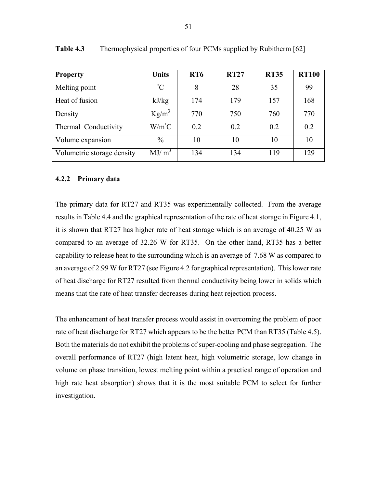| <b>Property</b>            | <b>Units</b>    | RT <sub>6</sub> | <b>RT27</b> | <b>RT35</b> | <b>RT100</b> |
|----------------------------|-----------------|-----------------|-------------|-------------|--------------|
| Melting point              | $\rm ^{\circ}C$ | 8               | 28          | 35          | 99           |
| Heat of fusion             | kJ/kg           | 174             | 179         | 157         | 168          |
| Density                    | $Kg/m^3$        | 770             | 750         | 760         | 770          |
| Thermal Conductivity       | $W/m^{\circ}C$  | 0.2             | 0.2         | 0.2         | 0.2          |
| Volume expansion           | $\frac{0}{0}$   | 10              | 10          | 10          | 10           |
| Volumetric storage density | $MJ/m^3$        | 134             | 134         | 119         | 129          |

**Table 4.3** Thermophysical properties of four PCMs supplied by Rubitherm [62]

#### **4.2.2 Primary data**

The primary data for RT27 and RT35 was experimentally collected. From the average results in Table 4.4 and the graphical representation of the rate of heat storage in Figure 4.1, it is shown that RT27 has higher rate of heat storage which is an average of 40.25 W as compared to an average of 32.26 W for RT35. On the other hand, RT35 has a better capability to release heat to the surrounding which is an average of 7.68 W as compared to an average of 2.99 W for RT27 (see Figure 4.2 for graphical representation). This lower rate of heat discharge for RT27 resulted from thermal conductivity being lower in solids which means that the rate of heat transfer decreases during heat rejection process.

The enhancement of heat transfer process would assist in overcoming the problem of poor rate of heat discharge for RT27 which appears to be the better PCM than RT35 (Table 4.5). Both the materials do not exhibit the problems of super-cooling and phase segregation. The overall performance of RT27 (high latent heat, high volumetric storage, low change in volume on phase transition, lowest melting point within a practical range of operation and high rate heat absorption) shows that it is the most suitable PCM to select for further investigation.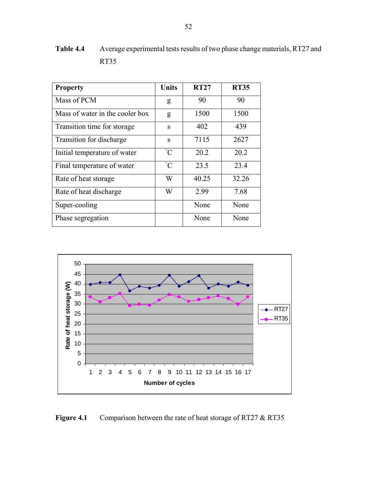| <b>Property</b>                 | <b>Units</b>    | <b>RT27</b> | <b>RT35</b> |
|---------------------------------|-----------------|-------------|-------------|
| Mass of PCM                     | g               | 90          | 90          |
| Mass of water in the cooler box | g               | 1500        | 1500        |
| Transition time for storage     | S               | 402         | 439         |
| Transition for discharge        | S               | 7115        | 2627        |
| Initial temperature of water    | $\rm ^{\circ}C$ | 20.2        | 20.2        |
| Final temperature of water      | $^{\circ}C$     | 23.5        | 23.4        |
| Rate of heat storage            | W               | 40.25       | 32.26       |
| Rate of heat discharge          | W               | 2.99        | 7.68        |
| Super-cooling                   |                 | None        | None        |
| Phase segregation               |                 | None        | None        |

**Table 4.4** Average experimental tests results of two phase change materials, RT27 and RT35



**Figure 4.1** Comparison between the rate of heat storage of RT27 & RT35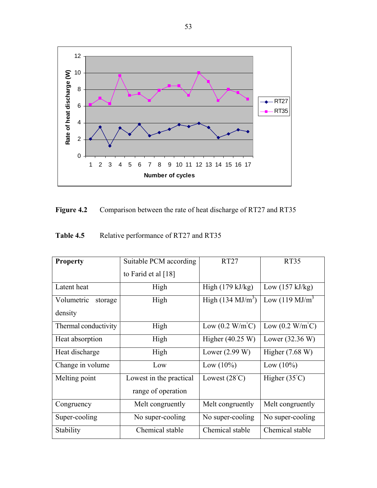

| <b>Figure 4.2</b> | Comparison between the rate of heat discharge of RT27 and RT35 |  |  |
|-------------------|----------------------------------------------------------------|--|--|
|                   |                                                                |  |  |

| <b>Property</b>       | Suitable PCM according  | RT27                                    | <b>RT35</b>                             |
|-----------------------|-------------------------|-----------------------------------------|-----------------------------------------|
|                       | to Farid et al $[18]$   |                                         |                                         |
| Latent heat           | High                    | High $(179 \text{ kJ/kg})$              | Low $(157 \text{ kJ/kg})$               |
| Volumetric<br>storage | High                    | High $(134 \text{ MJ/m}^3)$             | Low $(119 \text{ MJ/m}^3)$              |
| density               |                         |                                         |                                         |
| Thermal conductivity  | High                    | Low $(0.2 \text{ W/m}^{\circ}\text{C})$ | Low $(0.2 \text{ W/m}^{\circ}\text{C})$ |
| Heat absorption       | High                    | Higher $(40.25 W)$                      | Lower $(32.36 W)$                       |
| Heat discharge        | High                    | Lower $(2.99 W)$                        | Higher $(7.68 W)$                       |
| Change in volume      | Low                     | Low $(10\%)$                            | Low $(10\%)$                            |
| Melting point         | Lowest in the practical | Lowest $(28^{\circ}C)$                  | Higher $(35^{\circ}C)$                  |
|                       | range of operation      |                                         |                                         |
| Congruency            | Melt congruently        | Melt congruently                        | Melt congruently                        |
| Super-cooling         | No super-cooling        | No super-cooling                        | No super-cooling                        |
| Stability             | Chemical stable         | Chemical stable                         | Chemical stable                         |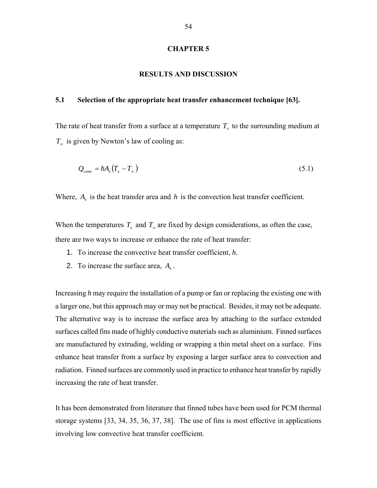#### **CHAPTER 5**

#### **RESULTS AND DISCUSSION**

#### **5.1 Selection of the appropriate heat transfer enhancement technique [63].**

The rate of heat transfer from a surface at a temperature  $T<sub>s</sub>$  to the surrounding medium at  $T_{\infty}$  is given by Newton's law of cooling as:

$$
Q_{conv} = hA_s(T_s - T_\infty) \tag{5.1}
$$

Where,  $A_s$  is the heat transfer area and  $h$  is the convection heat transfer coefficient.

When the temperatures  $T_s$  and  $T_\infty$  are fixed by design considerations, as often the case, there are two ways to increase or enhance the rate of heat transfer:

- 1. To increase the convective heat transfer coefficient, *h*.
- 2. To increase the surface area, *As* .

Increasing *h* may require the installation of a pump or fan or replacing the existing one with a larger one, but this approach may or may not be practical. Besides, it may not be adequate. The alternative way is to increase the surface area by attaching to the surface extended surfaces called fins made of highly conductive materials such as aluminium. Finned surfaces are manufactured by extruding, welding or wrapping a thin metal sheet on a surface. Fins enhance heat transfer from a surface by exposing a larger surface area to convection and radiation. Finned surfaces are commonly used in practice to enhance heat transfer by rapidly increasing the rate of heat transfer.

It has been demonstrated from literature that finned tubes have been used for PCM thermal storage systems [33, 34, 35, 36, 37, 38]. The use of fins is most effective in applications involving low convective heat transfer coefficient.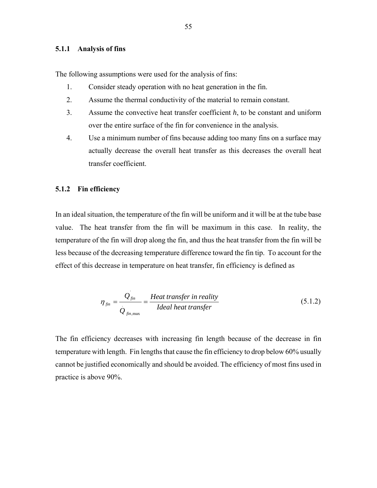#### **5.1.1 Analysis of fins**

The following assumptions were used for the analysis of fins:

.

- 1. Consider steady operation with no heat generation in the fin.
- 2. Assume the thermal conductivity of the material to remain constant.
- 3. Assume the convective heat transfer coefficient *h*, to be constant and uniform over the entire surface of the fin for convenience in the analysis.
- 4. Use a minimum number of fins because adding too many fins on a surface may actually decrease the overall heat transfer as this decreases the overall heat transfer coefficient.

#### **5.1.2 Fin efficiency**

In an ideal situation, the temperature of the fin will be uniform and it will be at the tube base value. The heat transfer from the fin will be maximum in this case. In reality, the temperature of the fin will drop along the fin, and thus the heat transfer from the fin will be less because of the decreasing temperature difference toward the fin tip. To account for the effect of this decrease in temperature on heat transfer, fin efficiency is defined as

$$
\eta_{fin} = \frac{Q_{fin}}{Q_{fin,max}} = \frac{Heat\ transfer\ in\ reality}{Ideal\ heat\ transfer} \tag{5.1.2}
$$

The fin efficiency decreases with increasing fin length because of the decrease in fin temperature with length. Fin lengths that cause the fin efficiency to drop below 60% usually cannot be justified economically and should be avoided. The efficiency of most fins used in practice is above 90%.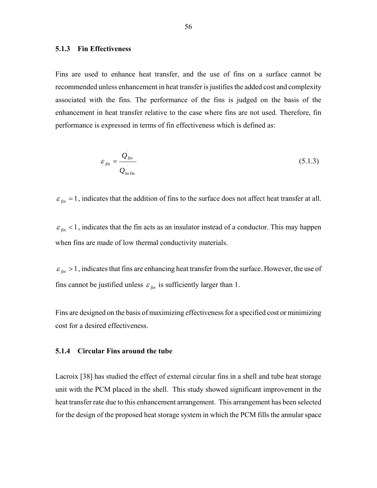#### **5.1.3 Fin Effectiveness**

Fins are used to enhance heat transfer, and the use of fins on a surface cannot be recommended unless enhancement in heat transfer is justifies the added cost and complexity associated with the fins. The performance of the fins is judged on the basis of the enhancement in heat transfer relative to the case where fins are not used. Therefore, fin performance is expressed in terms of fin effectiveness which is defined as:

$$
\varepsilon_{fin} = \frac{Q_{fin}}{Q_{no\,fin}}\tag{5.1.3}
$$

 $\epsilon_{fin} = 1$ , indicates that the addition of fins to the surface does not affect heat transfer at all.

 $\varepsilon_{fin}$  < 1, indicates that the fin acts as an insulator instead of a conductor. This may happen when fins are made of low thermal conductivity materials.

 $\varepsilon_{fin} > 1$ , indicates that fins are enhancing heat transfer from the surface. However, the use of fins cannot be justified unless  $\varepsilon_{fin}$  is sufficiently larger than 1.

Fins are designed on the basis of maximizing effectiveness for a specified cost or minimizing cost for a desired effectiveness.

#### **5.1.4 Circular Fins around the tube**

Lacroix [38] has studied the effect of external circular fins in a shell and tube heat storage unit with the PCM placed in the shell. This study showed significant improvement in the heat transfer rate due to this enhancement arrangement. This arrangement has been selected for the design of the proposed heat storage system in which the PCM fills the annular space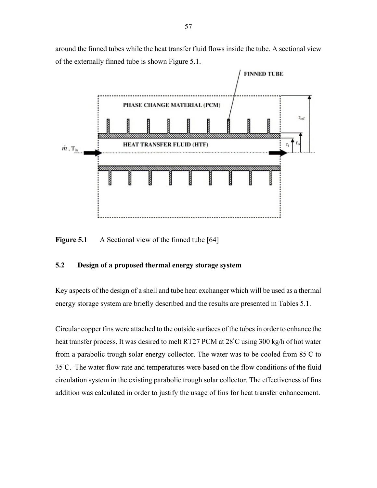around the finned tubes while the heat transfer fluid flows inside the tube. A sectional view of the externally finned tube is shown Figure 5.1.



**Figure 5.1** A Sectional view of the finned tube [64]

#### **5.2 Design of a proposed thermal energy storage system**

Key aspects of the design of a shell and tube heat exchanger which will be used as a thermal energy storage system are briefly described and the results are presented in Tables 5.1.

Circular copper fins were attached to the outside surfaces of the tubes in order to enhance the heat transfer process. It was desired to melt RT27 PCM at 28℃ using 300 kg/h of hot water from a parabolic trough solar energy collector. The water was to be cooled from 85°C to 35◦ C. The water flow rate and temperatures were based on the flow conditions of the fluid circulation system in the existing parabolic trough solar collector. The effectiveness of fins addition was calculated in order to justify the usage of fins for heat transfer enhancement.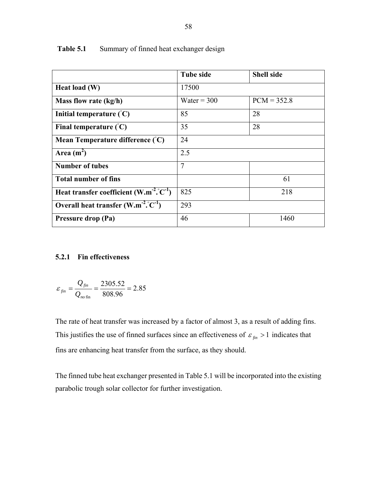|                                                       | <b>Tube side</b> | <b>Shell side</b> |  |
|-------------------------------------------------------|------------------|-------------------|--|
| Heat load (W)                                         | 17500            |                   |  |
| Mass flow rate (kg/h)                                 | Water = $300$    | $PCM = 352.8$     |  |
| Initial temperature $({}^{\circ}C)$                   | 85               | 28                |  |
| Final temperature $({}^{\circ}C)$                     | 35               | 28                |  |
| Mean Temperature difference (°C)                      | 24               |                   |  |
| Area $(m^2)$                                          | 2.5              |                   |  |
| <b>Number of tubes</b>                                | $\overline{7}$   |                   |  |
| <b>Total number of fins</b>                           |                  | 61                |  |
| Heat transfer coefficient $(W.m^{-2} \degree C^{-1})$ | 825              | 218               |  |
| Overall heat transfer $(W.m^{-2}.°C^{-1})$            | 293              |                   |  |
| Pressure drop (Pa)                                    | 46               | 1460              |  |

Table 5.1 Summary of finned heat exchanger design

#### **5.2.1 Fin effectiveness**

$$
\varepsilon_{fin} = \frac{Q_{fin}}{Q_{no\,fin}} = \frac{2305.52}{808.96} = 2.85
$$

The rate of heat transfer was increased by a factor of almost 3, as a result of adding fins. This justifies the use of finned surfaces since an effectiveness of  $\varepsilon_{fin} > 1$  indicates that fins are enhancing heat transfer from the surface, as they should.

The finned tube heat exchanger presented in Table 5.1 will be incorporated into the existing parabolic trough solar collector for further investigation.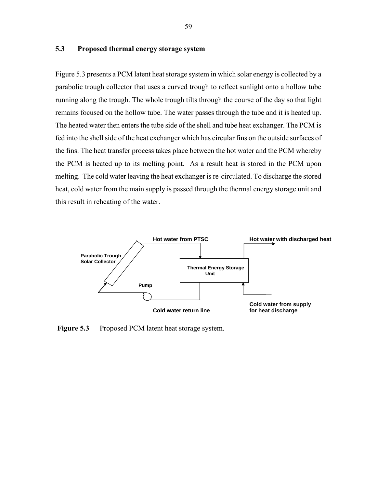#### **5.3 Proposed thermal energy storage system**

Figure 5.3 presents a PCM latent heat storage system in which solar energy is collected by a parabolic trough collector that uses a curved trough to reflect sunlight onto a hollow tube running along the trough. The whole trough tilts through the course of the day so that light remains focused on the hollow tube. The water passes through the tube and it is heated up. The heated water then enters the tube side of the shell and tube heat exchanger. The PCM is fed into the shell side of the heat exchanger which has circular fins on the outside surfaces of the fins. The heat transfer process takes place between the hot water and the PCM whereby the PCM is heated up to its melting point. As a result heat is stored in the PCM upon melting. The cold water leaving the heat exchanger is re-circulated. To discharge the stored heat, cold water from the main supply is passed through the thermal energy storage unit and this result in reheating of the water.



**Figure 5.3** Proposed PCM latent heat storage system.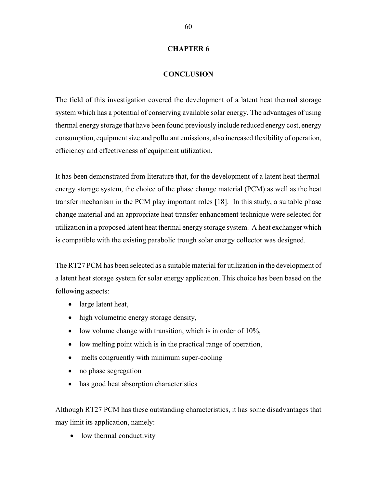#### **CHAPTER 6**

#### **CONCLUSION**

The field of this investigation covered the development of a latent heat thermal storage system which has a potential of conserving available solar energy. The advantages of using thermal energy storage that have been found previously include reduced energy cost, energy consumption, equipment size and pollutant emissions, also increased flexibility of operation, efficiency and effectiveness of equipment utilization.

It has been demonstrated from literature that, for the development of a latent heat thermal energy storage system, the choice of the phase change material (PCM) as well as the heat transfer mechanism in the PCM play important roles [18]. In this study, a suitable phase change material and an appropriate heat transfer enhancement technique were selected for utilization in a proposed latent heat thermal energy storage system. A heat exchanger which is compatible with the existing parabolic trough solar energy collector was designed.

The RT27 PCM has been selected as a suitable material for utilization in the development of a latent heat storage system for solar energy application. This choice has been based on the following aspects:

- large latent heat,
- high volumetric energy storage density,
- $\bullet$  low volume change with transition, which is in order of 10%,
- low melting point which is in the practical range of operation,
- melts congruently with minimum super-cooling
- no phase segregation
- has good heat absorption characteristics

Although RT27 PCM has these outstanding characteristics, it has some disadvantages that may limit its application, namely:

• low thermal conductivity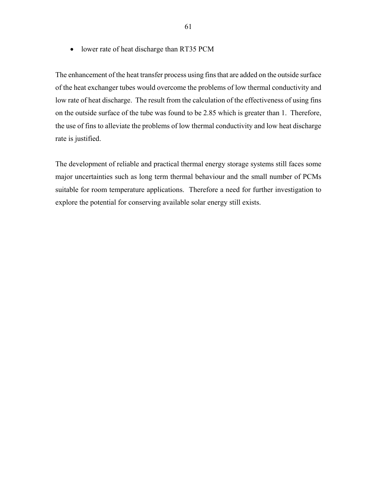• lower rate of heat discharge than RT35 PCM

The enhancement of the heat transfer process using fins that are added on the outside surface of the heat exchanger tubes would overcome the problems of low thermal conductivity and low rate of heat discharge. The result from the calculation of the effectiveness of using fins on the outside surface of the tube was found to be 2.85 which is greater than 1. Therefore, the use of fins to alleviate the problems of low thermal conductivity and low heat discharge rate is justified.

The development of reliable and practical thermal energy storage systems still faces some major uncertainties such as long term thermal behaviour and the small number of PCMs suitable for room temperature applications. Therefore a need for further investigation to explore the potential for conserving available solar energy still exists.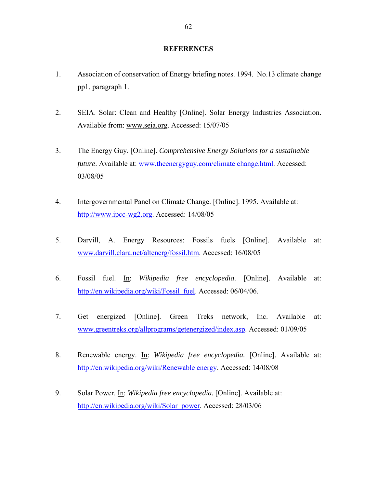#### **REFERENCES**

- 1. Association of conservation of Energy briefing notes. 1994. No.13 climate change pp1. paragraph 1.
- 2. SEIA. Solar: Clean and Healthy [Online]. Solar Energy Industries Association. Available from: www.seia.org. Accessed: 15/07/05
- 3. The Energy Guy. [Online]. *Comprehensive Energy Solutions for a sustainable future*. Available at: www.theenergyguy.com/climate change.html. Accessed: 03/08/05
- 4. Intergovernmental Panel on Climate Change. [Online]. 1995. Available at: http://www.ipcc-wg2.org. Accessed: 14/08/05
- 5. Darvill, A. Energy Resources: Fossils fuels [Online]. Available at: www.darvill.clara.net/altenerg/fossil.htm. Accessed: 16/08/05
- 6. Fossil fuel. In: *Wikipedia free encyclopedia*. [Online]. Available at: http://en.wikipedia.org/wiki/Fossil\_fuel. Accessed: 06/04/06.
- 7. Get energized [Online]. Green Treks network, Inc. Available at: www.greentreks.org/allprograms/getenergized/index.asp. Accessed: 01/09/05
- 8. Renewable energy. In: *Wikipedia free encyclopedia.* [Online]. Available at: http://en.wikipedia.org/wiki/Renewable energy. Accessed: 14/08/08
- 9. Solar Power. In: *Wikipedia free encyclopedia.* [Online]. Available at: http://en.wikipedia.org/wiki/Solar\_power. Accessed: 28/03/06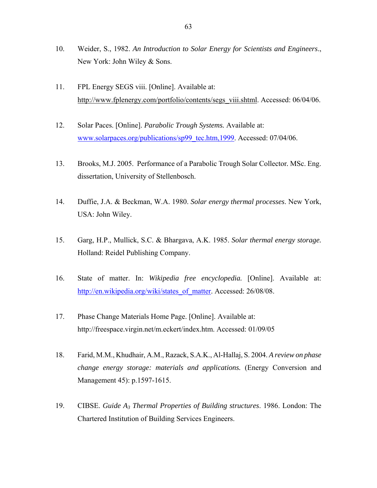- 10. Weider, S., 1982. *An Introduction to Solar Energy for Scientists and Engineers*., New York: John Wiley & Sons.
- 11. FPL Energy SEGS viii. [Online]. Available at: http://www.fplenergy.com/portfolio/contents/segs\_viii.shtml. Accessed: 06/04/06.
- 12. Solar Paces. [Online]. *Parabolic Trough Systems.* Available at: www.solarpaces.org/publications/sp99\_tec.htm,1999. Accessed: 07/04/06.
- 13. Brooks, M.J. 2005. Performance of a Parabolic Trough Solar Collector*.* MSc. Eng. dissertation, University of Stellenbosch.
- 14. Duffie, J.A. & Beckman, W.A. 1980. *Solar energy thermal processes*. New York, USA: John Wiley.
- 15. Garg, H.P., Mullick, S.C. & Bhargava, A.K. 1985. *Solar thermal energy storage.* Holland: Reidel Publishing Company.
- 16. State of matter. In: *Wikipedia free encyclopedia.* [Online]. Available at: http://en.wikipedia.org/wiki/states\_of\_matter. Accessed: 26/08/08.
- 17. Phase Change Materials Home Page. [Online]. Available at: http://freespace.virgin.net/m.eckert/index.htm. Accessed: 01/09/05
- 18. Farid, M.M., Khudhair, A.M., Razack, S.A.K., Al-Hallaj, S. 2004. *A review on phase change energy storage: materials and applications.* (Energy Conversion and Management 45): p.1597-1615.
- 19. CIBSE. *Guide A3 Thermal Properties of Building structures*. 1986. London: The Chartered Institution of Building Services Engineers.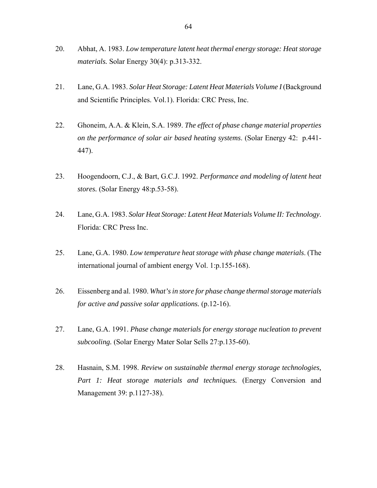- 20. Abhat, A. 1983. *Low temperature latent heat thermal energy storage: Heat storage materials.* Solar Energy 30(4): p.313-332.
- 21. Lane, G.A. 1983. *Solar Heat Storage: Latent Heat Materials Volume I* (Background and Scientific Principles. Vol.1). Florida: CRC Press, Inc.
- 22. Ghoneim, A.A. & Klein, S.A. 1989. *The effect of phase change material properties on the performance of solar air based heating systems*. (Solar Energy 42: p.441- 447).
- 23. Hoogendoorn, C.J., & Bart, G.C.J. 1992. *Performance and modeling of latent heat stores.* (Solar Energy 48:p.53-58).
- 24. Lane, G.A. 1983. *Solar Heat Storage: Latent Heat Materials Volume II: Technology*. Florida: CRC Press Inc.
- 25. Lane, G.A. 1980. *Low temperature heat storage with phase change materials*. (The international journal of ambient energy Vol. 1:p.155-168).
- 26. Eissenberg and al. 1980. *What's in store for phase change thermal storage materials for active and passive solar applications.* (p.12-16).
- 27. Lane, G.A. 1991. *Phase change materials for energy storage nucleation to prevent subcooling.* (Solar Energy Mater Solar Sells 27:p.135-60).
- 28. Hasnain, S.M. 1998. *Review on sustainable thermal energy storage technologies,*  Part 1: Heat storage materials and techniques. (Energy Conversion and Management 39: p.1127-38).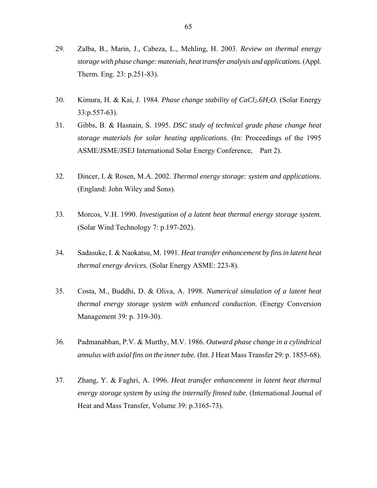- 29. Zalba, B., Marin, J., Cabeza, L., Mehling, H. 2003. *Review on thermal energy storage with phase change: materials, heat transfer analysis and applications.* (Appl. Therm. Eng. 23: p.251-83).
- 30. Kimura, H. & Kai, J. 1984. *Phase change stability of CaCl2.6H2O.* (Solar Energy 33:p.557-63).
- 31. Gibbs, B. & Hasnain, S. 1995. *DSC study of technical grade phase change heat storage materials for solar heating applications.* (In: Proceedings of the 1995 ASME/JSME/JSEJ International Solar Energy Conference, Part 2).
- 32. Dincer, I. & Rosen, M.A. 2002. *Thermal energy storage: system and applications.*  (England: John Wiley and Sons).
- 33. Morcos, V.H. 1990. *Investigation of a latent heat thermal energy storage system.*  (Solar Wind Technology 7: p.197-202).
- 34. Sadasuke, I. & Naokatsu, M. 1991. *Heat transfer enhancement by fins in latent heat thermal energy devices.* (Solar Energy ASME: 223-8).
- 35. Costa, M., Buddhi, D. & Oliva, A. 1998. *Numerical simulation of a latent heat thermal energy storage system with enhanced conduction.* (Energy Conversion Management 39: p. 319-30).
- 36. Padmanabhan, P.V. & Murthy, M.V. 1986. *Outward phase change in a cylindrical annulus with axial fins on the inner tube.* (Int. J Heat Mass Transfer 29: p. 1855-68).
- 37. Zhang, Y. & Faghri, A. 1996. *Heat transfer enhancement in latent heat thermal energy storage system by using the internally finned tube.* (International Journal of Heat and Mass Transfer, Volume 39: p.3165-73).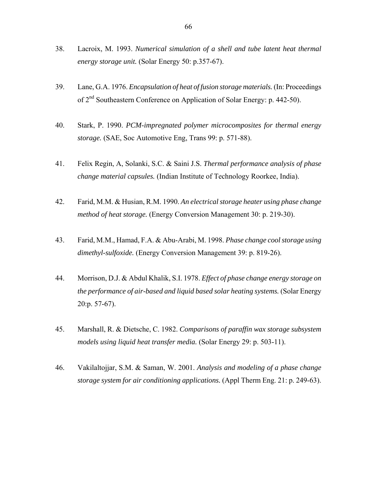- 38. Lacroix, M. 1993. *Numerical simulation of a shell and tube latent heat thermal energy storage unit.* (Solar Energy 50: p.357-67).
- 39. Lane, G.A. 1976. *Encapsulation of heat of fusion storage materials.* (In: Proceedings of 2nd Southeastern Conference on Application of Solar Energy: p. 442-50).
- 40. Stark, P. 1990. *PCM-impregnated polymer microcomposites for thermal energy storage.* (SAE, Soc Automotive Eng, Trans 99: p. 571-88).
- 41. Felix Regin, A, Solanki, S.C. & Saini J.S. *Thermal performance analysis of phase change material capsules.* (Indian Institute of Technology Roorkee, India).
- 42. Farid, M.M. & Husian, R.M. 1990. *An electrical storage heater using phase change method of heat storage.* (Energy Conversion Management 30: p. 219-30).
- 43. Farid, M.M., Hamad, F.A. & Abu-Arabi, M. 1998. *Phase change cool storage using dimethyl-sulfoxide.* (Energy Conversion Management 39: p. 819-26).
- 44. Morrison, D.J. & Abdul Khalik, S.I. 1978. *Effect of phase change energy storage on the performance of air-based and liquid based solar heating systems.* (Solar Energy 20:p. 57-67).
- 45. Marshall, R. & Dietsche, C. 1982. *Comparisons of paraffin wax storage subsystem models using liquid heat transfer media.* (Solar Energy 29: p. 503-11).
- 46. Vakilaltojjar, S.M. & Saman, W. 2001. *Analysis and modeling of a phase change storage system for air conditioning applications.* (Appl Therm Eng. 21: p. 249-63).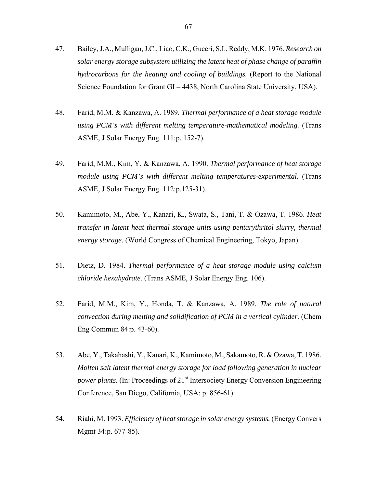- 47. Bailey, J.A., Mulligan, J.C., Liao, C.K., Guceri, S.I., Reddy, M.K. 1976. *Research on solar energy storage subsystem utilizing the latent heat of phase change of paraffin hydrocarbons for the heating and cooling of buildings.* (Report to the National Science Foundation for Grant GI – 4438, North Carolina State University, USA).
- 48. Farid, M.M. & Kanzawa, A. 1989. *Thermal performance of a heat storage module using PCM's with different melting temperature-mathematical modeling.* (Trans ASME, J Solar Energy Eng. 111:p. 152-7).
- 49. Farid, M.M., Kim, Y. & Kanzawa, A. 1990. *Thermal performance of heat storage module using PCM's with different melting temperatures-experimental.* (Trans ASME, J Solar Energy Eng. 112:p.125-31).
- 50. Kamimoto, M., Abe, Y., Kanari, K., Swata, S., Tani, T. & Ozawa, T. 1986. *Heat transfer in latent heat thermal storage units using pentarythritol slurry, thermal energy storage.* (World Congress of Chemical Engineering, Tokyo, Japan).
- 51. Dietz, D. 1984. *Thermal performance of a heat storage module using calcium chloride hexahydrate.* (Trans ASME, J Solar Energy Eng. 106).
- 52. Farid, M.M., Kim, Y., Honda, T. & Kanzawa, A. 1989. *The role of natural convection during melting and solidification of PCM in a vertical cylinder.* (Chem Eng Commun 84:p. 43-60).
- 53. Abe, Y., Takahashi, Y., Kanari, K., Kamimoto, M., Sakamoto, R. & Ozawa, T. 1986. *Molten salt latent thermal energy storage for load following generation in nuclear power plants.* (In: Proceedings of 21<sup>st</sup> Intersociety Energy Conversion Engineering Conference, San Diego, California, USA: p. 856-61).
- 54. Riahi, M. 1993. *Efficiency of heat storage in solar energy systems.* (Energy Convers Mgmt 34:p. 677-85).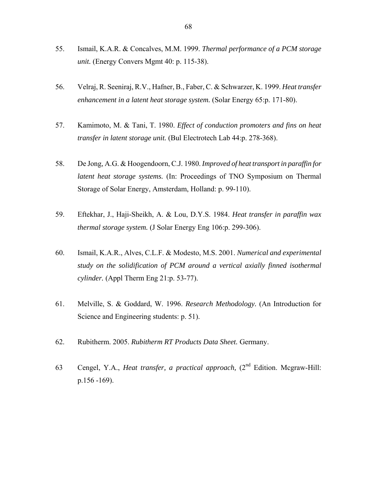- 55. Ismail, K.A.R. & Concalves, M.M. 1999. *Thermal performance of a PCM storage unit.* (Energy Convers Mgmt 40: p. 115-38).
- 56. Velraj, R. Seeniraj, R.V., Hafner, B., Faber, C. & Schwarzer, K. 1999. *Heat transfer enhancement in a latent heat storage system.* (Solar Energy 65:p. 171-80).
- 57. Kamimoto, M. & Tani, T. 1980. *Effect of conduction promoters and fins on heat transfer in latent storage unit.* (Bul Electrotech Lab 44:p. 278-368).
- 58. De Jong, A.G. & Hoogendoorn, C.J. 1980. *Improved of heat transport in paraffin for latent heat storage systems.* (In: Proceedings of TNO Symposium on Thermal Storage of Solar Energy, Amsterdam, Holland: p. 99-110).
- 59. Eftekhar, J., Haji-Sheikh, A. & Lou, D.Y.S. 1984. *Heat transfer in paraffin wax thermal storage system.* (J Solar Energy Eng 106:p. 299-306).
- 60. Ismail, K.A.R., Alves, C.L.F. & Modesto, M.S. 2001. *Numerical and experimental study on the solidification of PCM around a vertical axially finned isothermal cylinder.* (Appl Therm Eng 21:p. 53-77).
- 61. Melville, S. & Goddard, W. 1996. *Research Methodology.* (An Introduction for Science and Engineering students: p. 51).
- 62. Rubitherm. 2005. *Rubitherm RT Products Data Sheet.* Germany.
- 63 Cengel, Y.A., *Heat transfer, a practical approach,* (2nd Edition. Mcgraw-Hill: p.156 -169).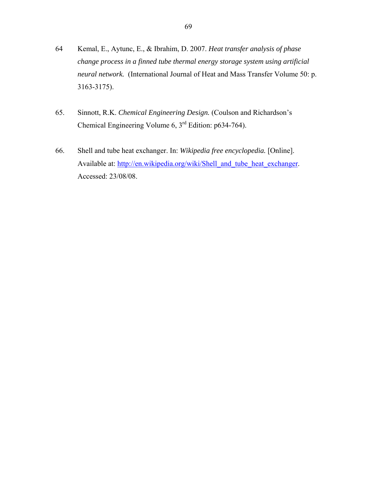- 64 Kemal, E., Aytunc, E., & Ibrahim, D. 2007. *Heat transfer analysis of phase change process in a finned tube thermal energy storage system using artificial neural network.* (International Journal of Heat and Mass Transfer Volume 50: p. 3163-3175).
- 65. Sinnott, R.K. *Chemical Engineering Design.* (Coulson and Richardson's Chemical Engineering Volume 6, 3rd Edition: p634-764).
- 66. Shell and tube heat exchanger. In: *Wikipedia free encyclopedia.* [Online]. Available at: http://en.wikipedia.org/wiki/Shell\_and\_tube\_heat\_exchanger. Accessed: 23/08/08.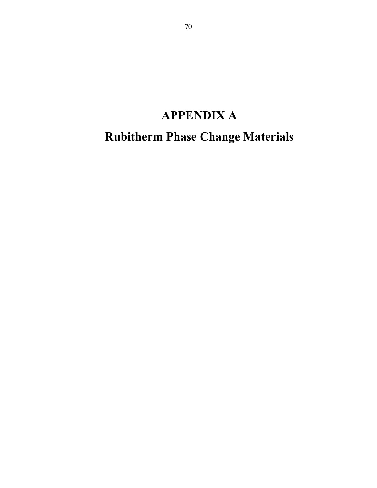## **APPENDIX A**

**Rubitherm Phase Change Materials**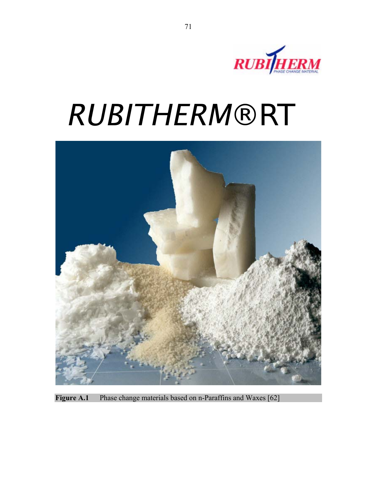

# $RUBITHERM® RT$



**Figure A.1** Phase change materials based on n-Paraffins and Waxes [62]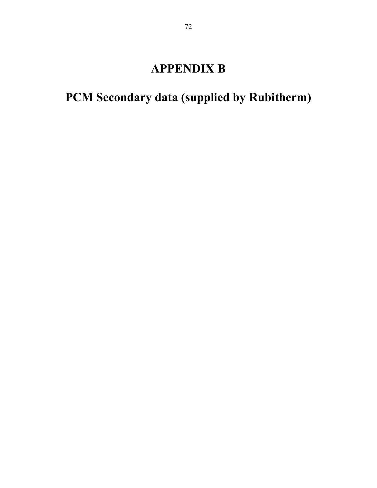### **APPENDIX B**

## **PCM Secondary data (supplied by Rubitherm)**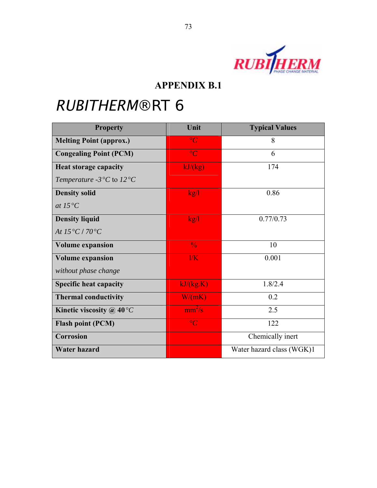

| <b>Property</b>                                                | Unit                   | <b>Typical Values</b>     |
|----------------------------------------------------------------|------------------------|---------------------------|
| <b>Melting Point (approx.)</b>                                 | $\rm ^{\circ}C$        | 8                         |
| <b>Congealing Point (PCM)</b>                                  | $\circ$ C              | 6                         |
| <b>Heat storage capacity</b>                                   | kJ/(kg)                | 174                       |
| Temperature -3 $\mathrm{^{\circ}C}$ to 12 $\mathrm{^{\circ}C}$ |                        |                           |
| <b>Density solid</b>                                           | kg/l                   | 0.86                      |
| at $15^{\circ}C$                                               |                        |                           |
| <b>Density liquid</b>                                          | kg/l                   | 0.77/0.73                 |
| At $15^{\circ}C/70^{\circ}C$                                   |                        |                           |
| <b>Volume expansion</b>                                        | $\frac{0}{0}$          | 10                        |
| <b>Volume expansion</b>                                        | 1/K                    | 0.001                     |
| without phase change                                           |                        |                           |
| <b>Specific heat capacity</b>                                  | kJ/kg.K                | 1.8/2.4                   |
| <b>Thermal conductivity</b>                                    | W/(mK)                 | 0.2                       |
| Kinetic viscosity @ $40^{\circ}C$                              | $\text{mm}^2/\text{s}$ | 2.5                       |
| <b>Flash point (PCM)</b>                                       | $\circ$ C              | 122                       |
| <b>Corrosion</b>                                               |                        | Chemically inert          |
| <b>Water hazard</b>                                            |                        | Water hazard class (WGK)1 |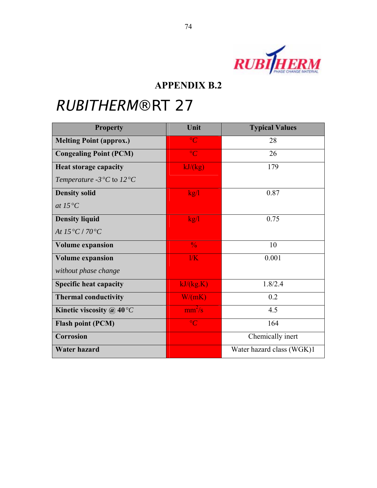

| <b>Property</b>                                        | Unit                   | <b>Typical Values</b>     |
|--------------------------------------------------------|------------------------|---------------------------|
| <b>Melting Point (approx.)</b>                         | $\rm ^{\circ}C$        | 28                        |
| <b>Congealing Point (PCM)</b>                          | $\circ$ C              | 26                        |
| <b>Heat storage capacity</b>                           | kJ/(kg)                | 179                       |
| Temperature -3 $\rm{^{\circ}C}$ to 12 $\rm{^{\circ}C}$ |                        |                           |
| <b>Density solid</b>                                   | kg/l                   | 0.87                      |
| at $15^{\circ}C$                                       |                        |                           |
| <b>Density liquid</b>                                  | kg/l                   | 0.75                      |
| At $15^{\circ}C/70^{\circ}C$                           |                        |                           |
| <b>Volume expansion</b>                                | $\frac{0}{6}$          | 10                        |
| <b>Volume expansion</b>                                | 1/K                    | 0.001                     |
| without phase change                                   |                        |                           |
| <b>Specific heat capacity</b>                          | kJ/(kg.K)              | 1.8/2.4                   |
| <b>Thermal conductivity</b>                            | W/(mK)                 | 0.2                       |
| Kinetic viscosity @ $40^{\circ}C$                      | $\text{mm}^2/\text{s}$ | 4.5                       |
| <b>Flash point (PCM)</b>                               | $\circ$ C              | 164                       |
| <b>Corrosion</b>                                       |                        | Chemically inert          |
| <b>Water hazard</b>                                    |                        | Water hazard class (WGK)1 |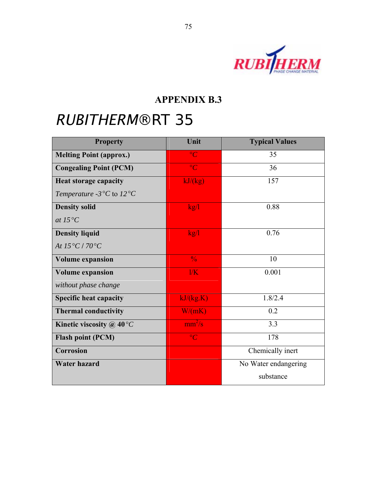

| <b>Property</b>                                                | Unit            | <b>Typical Values</b> |
|----------------------------------------------------------------|-----------------|-----------------------|
| <b>Melting Point (approx.)</b>                                 | $\overline{C}$  | 35                    |
| <b>Congealing Point (PCM)</b>                                  | $\rm ^{\circ}C$ | 36                    |
| <b>Heat storage capacity</b>                                   | kJ/kg           | 157                   |
| Temperature -3 $\mathrm{^{\circ}C}$ to 12 $\mathrm{^{\circ}C}$ |                 |                       |
| <b>Density solid</b>                                           | kg/l            | 0.88                  |
| at $15^{\circ}C$                                               |                 |                       |
| <b>Density liquid</b>                                          | kg/l            | 0.76                  |
| At $15^{\circ}C/70^{\circ}C$                                   |                 |                       |
| <b>Volume expansion</b>                                        | $\frac{0}{0}$   | 10                    |
| <b>Volume expansion</b>                                        | 1/K             | 0.001                 |
| without phase change                                           |                 |                       |
| <b>Specific heat capacity</b>                                  | kJ/kg.K         | 1.8/2.4               |
| <b>Thermal conductivity</b>                                    | W/(mK)          | 0.2                   |
| Kinetic viscosity @ $40^{\circ}C$                              | $mm^2/s$        | 3.3                   |
| <b>Flash point (PCM)</b>                                       | $\rm ^{\circ}C$ | 178                   |
| Corrosion                                                      |                 | Chemically inert      |
| <b>Water hazard</b>                                            |                 | No Water endangering  |
|                                                                |                 | substance             |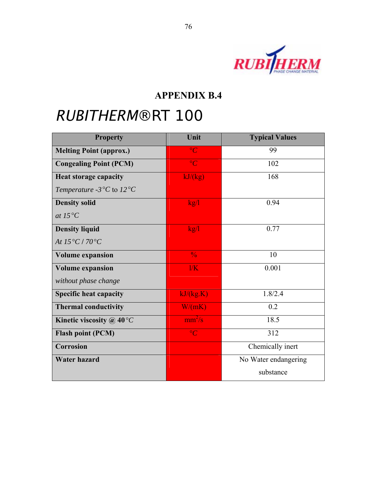

| <b>Property</b>                                                | Unit                    | <b>Typical Values</b> |
|----------------------------------------------------------------|-------------------------|-----------------------|
| <b>Melting Point (approx.)</b>                                 | $\circ$ C               | 99                    |
| <b>Congealing Point (PCM)</b>                                  | $\overline{C}$          | 102                   |
| <b>Heat storage capacity</b>                                   | kJ/kg                   | 168                   |
| Temperature -3 $\mathrm{^{\circ}C}$ to 12 $\mathrm{^{\circ}C}$ |                         |                       |
| <b>Density solid</b>                                           | kg/1                    | 0.94                  |
| at $15^{\circ}C$                                               |                         |                       |
| <b>Density liquid</b>                                          | kg/l                    | 0.77                  |
| At $15^{\circ}C/70^{\circ}C$                                   |                         |                       |
| <b>Volume expansion</b>                                        | $\frac{0}{6}$           | 10                    |
| <b>Volume expansion</b>                                        | $\overline{\text{l/K}}$ | 0.001                 |
| without phase change                                           |                         |                       |
| <b>Specific heat capacity</b>                                  | kJ/(kg.K)               | 1.8/2.4               |
| <b>Thermal conductivity</b>                                    | W/(mK)                  | 0.2                   |
| Kinetic viscosity @ $40^{\circ}C$                              | $mm^2/s$                | 18.5                  |
| <b>Flash point (PCM)</b>                                       | $\circ$ C               | 312                   |
| Corrosion                                                      |                         | Chemically inert      |
| <b>Water hazard</b>                                            |                         | No Water endangering  |
|                                                                |                         | substance             |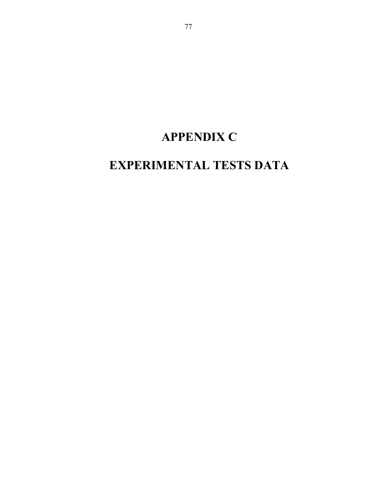## **APPENDIX C**

### **EXPERIMENTAL TESTS DATA**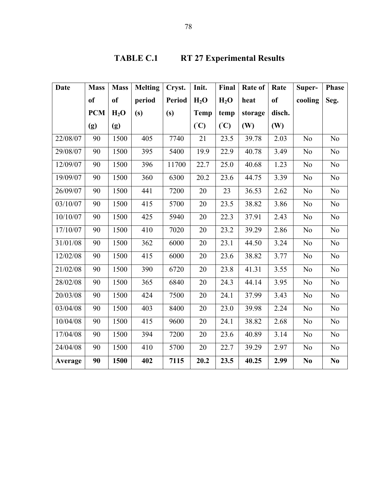| <b>Date</b> | <b>Mass</b>   | <b>Mass</b>      | <b>Melting</b> | Cryst.        | Init.       | Final  | Rate of | Rate          | Super-         | <b>Phase</b>   |
|-------------|---------------|------------------|----------------|---------------|-------------|--------|---------|---------------|----------------|----------------|
|             | <sub>of</sub> | <sub>of</sub>    | period         | <b>Period</b> | $H_2O$      | $H_2O$ | heat    | <sub>of</sub> | cooling        | Seg.           |
|             | <b>PCM</b>    | H <sub>2</sub> O | (s)            | (s)           | <b>Temp</b> | temp   | storage | disch.        |                |                |
|             | (g)           | (g)              |                |               | (C)         | (C)    | (W)     | (W)           |                |                |
| 22/08/07    | 90            | 1500             | 405            | 7740          | 21          | 23.5   | 39.78   | 2.03          | N <sub>o</sub> | N <sub>o</sub> |
| 29/08/07    | 90            | 1500             | 395            | 5400          | 19.9        | 22.9   | 40.78   | 3.49          | N <sub>o</sub> | N <sub>0</sub> |
| 12/09/07    | 90            | 1500             | 396            | 11700         | 22.7        | 25.0   | 40.68   | 1.23          | N <sub>o</sub> | $\rm No$       |
| 19/09/07    | 90            | 1500             | 360            | 6300          | 20.2        | 23.6   | 44.75   | 3.39          | N <sub>o</sub> | No             |
| 26/09/07    | 90            | 1500             | 441            | 7200          | 20          | 23     | 36.53   | 2.62          | N <sub>o</sub> | No             |
| 03/10/07    | 90            | 1500             | 415            | 5700          | 20          | 23.5   | 38.82   | 3.86          | N <sub>o</sub> | No             |
| 10/10/07    | 90            | 1500             | 425            | 5940          | 20          | 22.3   | 37.91   | 2.43          | N <sub>o</sub> | No             |
| 17/10/07    | 90            | 1500             | 410            | 7020          | 20          | 23.2   | 39.29   | 2.86          | N <sub>o</sub> | No             |
| 31/01/08    | 90            | 1500             | 362            | 6000          | 20          | 23.1   | 44.50   | 3.24          | N <sub>o</sub> | No             |
| 12/02/08    | 90            | 1500             | 415            | 6000          | 20          | 23.6   | 38.82   | 3.77          | N <sub>o</sub> | No             |
| 21/02/08    | 90            | 1500             | 390            | 6720          | 20          | 23.8   | 41.31   | 3.55          | N <sub>o</sub> | $\rm No$       |
| 28/02/08    | 90            | 1500             | 365            | 6840          | 20          | 24.3   | 44.14   | 3.95          | N <sub>o</sub> | No             |
| 20/03/08    | 90            | 1500             | 424            | 7500          | 20          | 24.1   | 37.99   | 3.43          | N <sub>o</sub> | No             |
| 03/04/08    | 90            | 1500             | 403            | 8400          | 20          | 23.0   | 39.98   | 2.24          | N <sub>o</sub> | No             |
| 10/04/08    | 90            | 1500             | 415            | 9600          | 20          | 24.1   | 38.82   | 2.68          | N <sub>o</sub> | N <sub>0</sub> |
| 17/04/08    | 90            | 1500             | 394            | 7200          | 20          | 23.6   | 40.89   | 3.14          | N <sub>o</sub> | No             |
| 24/04/08    | 90            | 1500             | 410            | 5700          | 20          | 22.7   | 39.29   | 2.97          | N <sub>o</sub> | No             |
| Average     | 90            | 1500             | 402            | 7115          | 20.2        | 23.5   | 40.25   | 2.99          | N <sub>0</sub> | N <sub>0</sub> |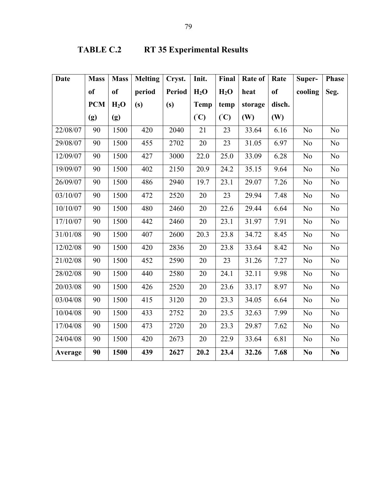### **TABLE C.2 RT 35 Experimental Results**

| <b>Date</b> | <b>Mass</b>   | <b>Mass</b>      | <b>Melting</b> | Cryst. | Init.       | Final  | Rate of | Rate   | Super-         | <b>Phase</b>           |
|-------------|---------------|------------------|----------------|--------|-------------|--------|---------|--------|----------------|------------------------|
|             | <sub>of</sub> | <sub>of</sub>    | period         | Period | $H_2O$      | $H_2O$ | heat    | of     | cooling        | Seg.                   |
|             | <b>PCM</b>    | H <sub>2</sub> O | (s)            | (s)    | <b>Temp</b> | temp   | storage | disch. |                |                        |
|             | (g)           | (g)              |                |        | (C)         | (C)    | (W)     | (W)    |                |                        |
| 22/08/07    | 90            | 1500             | 420            | 2040   | 21          | 23     | 33.64   | 6.16   | No             | N <sub>0</sub>         |
| 29/08/07    | 90            | 1500             | 455            | 2702   | $20\,$      | 23     | 31.05   | 6.97   | N <sub>o</sub> | No                     |
| 12/09/07    | 90            | 1500             | 427            | 3000   | 22.0        | 25.0   | 33.09   | 6.28   | N <sub>0</sub> | No                     |
| 19/09/07    | 90            | 1500             | 402            | 2150   | 20.9        | 24.2   | 35.15   | 9.64   | No             | $\rm No$               |
| 26/09/07    | 90            | 1500             | 486            | 2940   | 19.7        | 23.1   | 29.07   | 7.26   | N <sub>o</sub> | N <sub>o</sub>         |
| 03/10/07    | 90            | 1500             | 472            | 2520   | 20          | 23     | 29.94   | 7.48   | N <sub>o</sub> | No                     |
| 10/10/07    | 90            | 1500             | 480            | 2460   | 20          | 22.6   | 29.44   | 6.64   | N <sub>o</sub> | N <sub>o</sub>         |
| 17/10/07    | 90            | 1500             | 442            | 2460   | 20          | 23.1   | 31.97   | 7.91   | N <sub>0</sub> | N <sub>0</sub>         |
| 31/01/08    | 90            | 1500             | 407            | 2600   | 20.3        | 23.8   | 34.72   | 8.45   | N <sub>o</sub> | N <sub>o</sub>         |
| 12/02/08    | 90            | 1500             | 420            | 2836   | 20          | 23.8   | 33.64   | 8.42   | N <sub>o</sub> | N <sub>o</sub>         |
| 21/02/08    | 90            | 1500             | 452            | 2590   | 20          | 23     | 31.26   | 7.27   | N <sub>o</sub> | $\rm No$               |
| 28/02/08    | 90            | 1500             | 440            | 2580   | 20          | 24.1   | 32.11   | 9.98   | N <sub>o</sub> | N <sub>o</sub>         |
| 20/03/08    | 90            | 1500             | 426            | 2520   | 20          | 23.6   | 33.17   | 8.97   | N <sub>0</sub> | N <sub>o</sub>         |
| 03/04/08    | 90            | 1500             | 415            | 3120   | 20          | 23.3   | 34.05   | 6.64   | N <sub>0</sub> | N <sub>o</sub>         |
| 10/04/08    | 90            | 1500             | 433            | 2752   | 20          | 23.5   | 32.63   | 7.99   | N <sub>o</sub> | N <sub>o</sub>         |
| 17/04/08    | 90            | 1500             | 473            | 2720   | 20          | 23.3   | 29.87   | 7.62   | N <sub>o</sub> | No                     |
| 24/04/08    | 90            | 1500             | 420            | 2673   | 20          | 22.9   | 33.64   | 6.81   | N <sub>o</sub> | No                     |
| Average     | 90            | 1500             | 439            | 2627   | 20.2        | 23.4   | 32.26   | 7.68   | N <sub>0</sub> | $\mathbf{N}\mathbf{0}$ |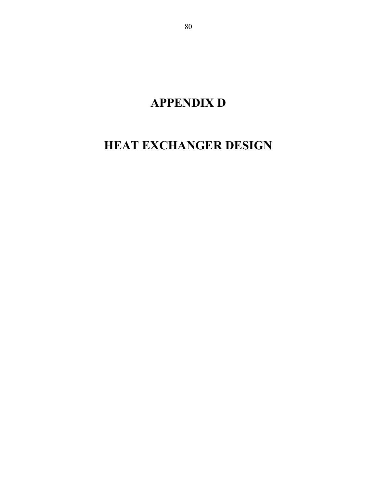**APPENDIX D** 

### **HEAT EXCHANGER DESIGN**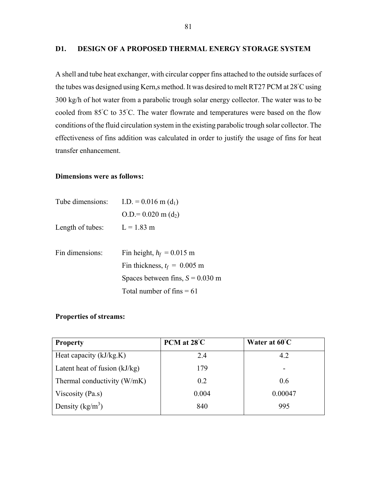#### **D1. DESIGN OF A PROPOSED THERMAL ENERGY STORAGE SYSTEM**

A shell and tube heat exchanger, with circular copper fins attached to the outside surfaces of the tubes was designed using Kern,s method. It was desired to melt RT27 PCM at 28°C using 300 kg/h of hot water from a parabolic trough solar energy collector. The water was to be cooled from 85°C to 35°C. The water flowrate and temperatures were based on the flow conditions of the fluid circulation system in the existing parabolic trough solar collector. The effectiveness of fins addition was calculated in order to justify the usage of fins for heat transfer enhancement.

#### **Dimensions were as follows:**

| Tube dimensions: | $I.D. = 0.016$ m $(d_1)$           |  |  |
|------------------|------------------------------------|--|--|
|                  | $Q.D = 0.020 m(d_2)$               |  |  |
| Length of tubes: | $L = 1.83$ m                       |  |  |
|                  |                                    |  |  |
| Fin dimensions:  | Fin height, $h_f = 0.015$ m        |  |  |
|                  | Fin thickness, $t_f = 0.005$ m     |  |  |
|                  | Spaces between fins, $S = 0.030$ m |  |  |
|                  | Total number of fins $= 61$        |  |  |

#### **Properties of streams:**

| <b>Property</b>                 | PCM at 28°C | Water at 60°C |  |  |
|---------------------------------|-------------|---------------|--|--|
| Heat capacity $(kJ/kg.K)$       | 2.4         | 4.2           |  |  |
| Latent heat of fusion $(kJ/kg)$ | 179         |               |  |  |
| Thermal conductivity (W/mK)     | 0.2         | 0.6           |  |  |
| Viscosity (Pa.s)                | 0.004       | 0.00047       |  |  |
| Density $(kg/m^3)$              | 840         | 995           |  |  |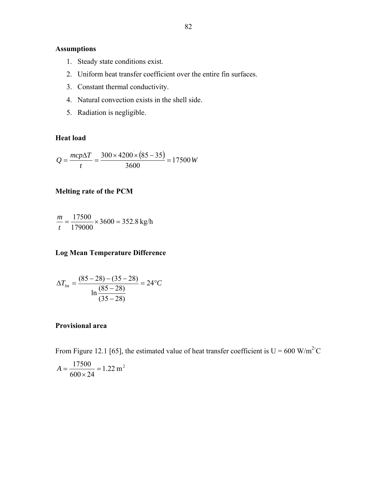### **Assumptions**

- 1. Steady state conditions exist.
- 2. Uniform heat transfer coefficient over the entire fin surfaces.
- 3. Constant thermal conductivity.
- 4. Natural convection exists in the shell side.
- 5. Radiation is negligible.

#### **Heat load**

$$
Q = \frac{mcp\Delta T}{t} = \frac{300 \times 4200 \times (85 - 35)}{3600} = 17500 \, W
$$

#### **Melting rate of the PCM**

$$
\frac{m}{t} = \frac{17500}{179000} \times 3600 = 352.8 \text{ kg/h}
$$

#### **Log Mean Temperature Difference**

$$
\Delta T_{lm} = \frac{(85 - 28) - (35 - 28)}{\ln \frac{(85 - 28)}{(35 - 28)}} = 24^{\circ}C
$$

#### **Provisional area**

From Figure 12.1 [65], the estimated value of heat transfer coefficient is  $U = 600$  W/m<sup>2</sup>°C

$$
A = \frac{17500}{600 \times 24} = 1.22 \text{ m}^2
$$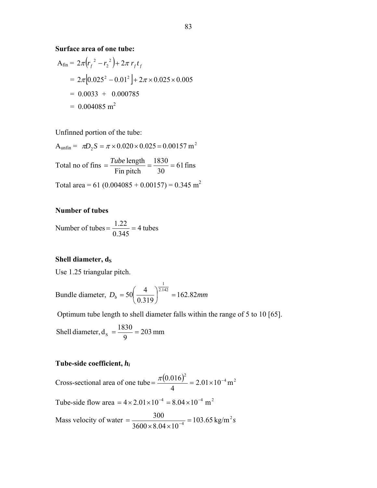**Surface area of one tube:** 

$$
A_{fin} = 2\pi (r_f^2 - r_2^2) + 2\pi r_f t_f
$$
  
= 2\pi [0.025<sup>2</sup> - 0.01<sup>2</sup>] + 2\pi \times 0.025 \times 0.005  
= 0.0033 + 0.000785  
= 0.004085 m<sup>2</sup>

Unfinned portion of the tube:

 $A<sub>unfin</sub> = \pi D_2 S = \pi \times 0.020 \times 0.025 = 0.00157$  m<sup>2</sup> Total no of fins  $=$   $\frac{1 \text{ m/e}}{B}$   $\frac{\text{m}}{\text{m}} = \frac{1 \text{ m}^2}{2 \text{ s}} = 61 \text{ fins}$ 30 1830 Fin pitch  $=$  $\frac{Tube \text{ length}}{T1} = \frac{1830}{20} =$ Total area = 61 (0.004085 + 0.00157) = 0.345 m<sup>2</sup>

#### **Number of tubes**

Number of tubes  $=\frac{1.22}{8.345}$  = 4 tubes 0.345  $=\frac{1.22}{2.245}$ 

#### **Shell diameter, ds**

Use 1.25 triangular pitch.

Bundle diameter, 
$$
D_b = 50 \left( \frac{4}{0.319} \right)^{\frac{1}{2.142}} = 162.82 \text{mm}
$$

Optimum tube length to shell diameter falls within the range of 5 to 10 [65].

Shell diameter, 
$$
d_s = \frac{1830}{9} = 203 \text{ mm}
$$

#### **Tube-side coefficient,** *hi*

Cross-sectional area of one tube =  $\frac{\pi (0.016)^2}{4}$  = 2.01×10<sup>-4</sup> m<sup>2</sup>  $2.01 \times 10^{-4}$  m 4  $=\frac{\pi (0.016)^2}{4}$  = 2.01×10<sup>-1</sup> Tube-side flow area =  $4 \times 2.01 \times 10^{-4}$  =  $8.04 \times 10^{-4}$  m<sup>2</sup> Mass velocity of water  $=$   $\frac{300}{3600 \times 8.04 \times 10^{-4}}$  = 103.65 kg/m<sup>2</sup>s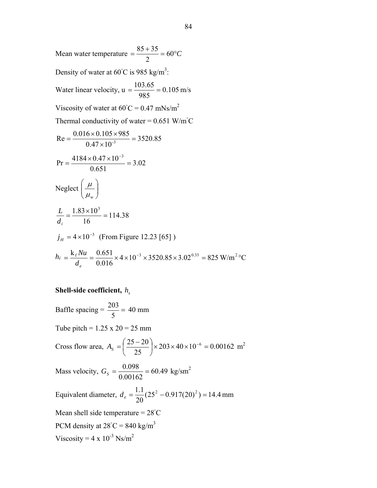Mean water temperature  $=$   $\frac{85+35}{2}$  = 60°C 2  $85 + 35$ Density of water at 60 $^{\circ}$ C is 985 kg/m<sup>3</sup>: Water linear velocity,  $u = \frac{103.05}{0.05} = 0.105$  m/s 985  $=\frac{103.65}{205}$ Viscosity of water at  $60^{\circ}$ C = 0.47 mNs/m<sup>2</sup> Thermal conductivity of water =  $0.651$  W/m<sup>°</sup>C 3520.85  $Re = {0.016 \times 0.105 \times 985 \over 0.47 \times 10^{-3}}$ 3.02 0.651  $Pr = \frac{4184 \times 0.47 \times 10^{-3}}{2544 \times 10^{-3}}$ Neglect  $\left|\frac{\mu}{\mu}\right|$ J  $\setminus$  $\overline{\phantom{a}}$  $\setminus$ ſ  $\mu_{_W}$  $\mu$ 114.38 16  $\frac{L}{d_i} = \frac{1.83 \times 10^3}{16} =$  $j_H = 4 \times 10^{-3}$  (From Figure 12.23 [65])  $h_i = \frac{K_f N u}{I} = \frac{0.031}{0.045} \times 4 \times 10^{-3} \times 3520.85 \times 3.02^{0.33} = 825$  W/m<sup>2</sup> °C 0.016  $=\frac{k_f Nu}{1.2}=\frac{0.651}{0.0013}\times 4\times 10^{-3}\times 3520.85\times 3.02^{0.33}=825$  W/m<sup>2</sup>°  $d_e$ *Nu*

#### **Shell-side coefficient,**  $h_s$

Baffle spacing =  $\frac{203}{5}$  = 40 mm Tube pitch =  $1.25 \times 20 = 25 \text{ mm}$ Cross flow area,  $A_s = \frac{25-20}{1.2}$   $\times 203 \times 40 \times 10^{-6} = 0.00162$  $\left(\frac{25-20}{25}\right) \times 203 \times 40 \times 10^{-6} =$  $\setminus$  $A_s = \left(\frac{25-20}{25}\right) \times 203 \times 40 \times 10^{-6} = 0.00162$  m<sup>2</sup> Mass velocity,  $G_s = \frac{0.096}{0.00452} = 60.49$  $G_s = \frac{0.098}{0.00162} = 60.49$  kg/sm<sup>2</sup> Equivalent diameter,  $d_e = \frac{1.1}{20} (25^2 - 0.917(20)^2) = 14.4$  $d_e = \frac{1.1}{20} (25^2 - 0.917(20)^2) = 14.4 \text{ mm}$ Mean shell side temperature =  $28^{\circ}$ C PCM density at  $28^{\circ}$ C = 840 kg/m<sup>3</sup> Viscosity =  $4 \times 10^{-3}$  Ns/m<sup>2</sup>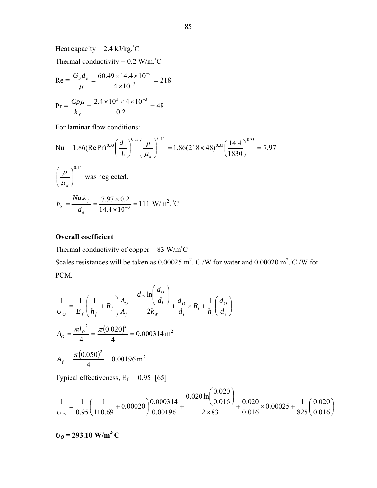Heat capacity =  $2.4 \text{ kJ/kg}$ .  $^{\circ}\text{C}$ 

Thermal conductivity =  $0.2 \text{ W/m}$ .  $^{\circ}\text{C}$ 

$$
Re = \frac{G_s d_e}{\mu} = \frac{60.49 \times 14.4 \times 10^{-3}}{4 \times 10^{-3}} = 218
$$
  

$$
Pr = \frac{Cp\mu}{k_f} = \frac{2.4 \times 10^3 \times 4 \times 10^{-3}}{0.2} = 48
$$

For laminar flow conditions:

$$
\text{Nu} = 1.86(\text{Re}\,\text{Pr})^{0.33} \left(\frac{d_e}{L}\right)^{0.33} \left(\frac{\mu}{\mu_w}\right)^{0.14} = 1.86(218 \times 48)^{0.33} \left(\frac{14.4}{1830}\right)^{0.33} = 7.97
$$
\n
$$
\left(\frac{\mu}{\mu_w}\right)^{0.14} \text{was neglected.}
$$
\n
$$
h_s = \frac{Nu.k_f}{d_e} = \frac{7.97 \times 0.2}{14.4 \times 10^{-3}} = 111 \text{ W/m}^2. \text{°C}
$$

#### **Overall coefficient**

Thermal conductivity of copper =  $83 \text{ W/m}^{\circ}\text{C}$ Scales resistances will be taken as  $0.00025 \text{ m}^2$ . °C /W for water and  $0.00020 \text{ m}^2$ . °C /W for PCM.

$$
\frac{1}{U_o} = \frac{1}{E_f} \left( \frac{1}{h_f} + R_f \right) \frac{A_o}{A_f} + \frac{d_o \ln \left( \frac{d_o}{d_i} \right)}{2k_W} + \frac{d_o}{d_i} \times R_i + \frac{1}{h_i} \left( \frac{d_o}{d_i} \right)
$$
  

$$
A_o = \frac{\pi d_o^2}{4} = \frac{\pi (0.020)^2}{4} = 0.000314 \text{ m}^2
$$
  

$$
A_f = \frac{\pi (0.050)^2}{4} = 0.00196 \text{ m}^2
$$

Typical effectiveness,  $E_f = 0.95$  [65]

$$
\frac{1}{U_o} = \frac{1}{0.95} \left( \frac{1}{110.69} + 0.00020 \right) \frac{0.000314}{0.00196} + \frac{0.020 \ln \left( \frac{0.020}{0.016} \right)}{2 \times 83} + \frac{0.020}{0.016} \times 0.00025 + \frac{1}{825} \left( \frac{0.020}{0.016} \right)
$$

$$
U_0 = 293.10 \text{ W/m}^2
$$
°C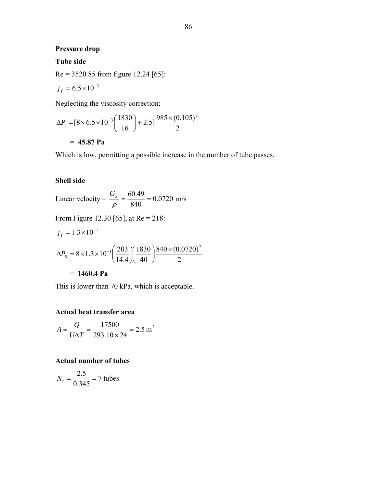#### **Pressure drop**

#### **Tube side**

Re = 3520.85 from figure 12.24 [65]:

$$
j_f=6.5\times10^{-3}
$$

Neglecting the viscosity correction:

$$
\Delta P_t = [8 \times 6.5 \times 10^{-3} \left( \frac{1830}{16} \right) + 2.5] \frac{985 \times (0.105)^2}{2}
$$

= **45.87 Pa**

Which is low, permitting a possible increase in the number of tube passes.

#### **Shell side**

Linear velocity = 
$$
\frac{G_s}{\rho} = \frac{60.49}{840} = 0.0720
$$
 m/s

From Figure 12.30 [65], at 
$$
Re = 218
$$
:

$$
j_f = 1.3 \times 10^{-1}
$$
  
\n
$$
\Delta P_s = 8 \times 1.3 \times 10^{-1} \left( \frac{203}{14.4} \right) \left( \frac{1830}{40} \right) \frac{840 \times (0.0720)^2}{2}
$$
  
\n= 1460.4 Pa

This is lower than 70 kPa, which is acceptable.

#### **Actual heat transfer area**

$$
A = \frac{Q}{U\Delta T} = \frac{17500}{293.10 \times 24} = 2.5 \text{ m}^2
$$

#### **Actual number of tubes**

$$
N_t = \frac{2.5}{0.345} = 7 \text{ tubes}
$$